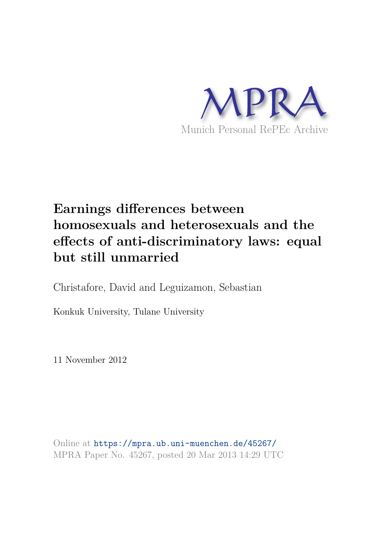

# **Earnings differences between homosexuals and heterosexuals and the effects of anti-discriminatory laws: equal but still unmarried**

Christafore, David and Leguizamon, Sebastian

Konkuk University, Tulane University

11 November 2012

Online at https://mpra.ub.uni-muenchen.de/45267/ MPRA Paper No. 45267, posted 20 Mar 2013 14:29 UTC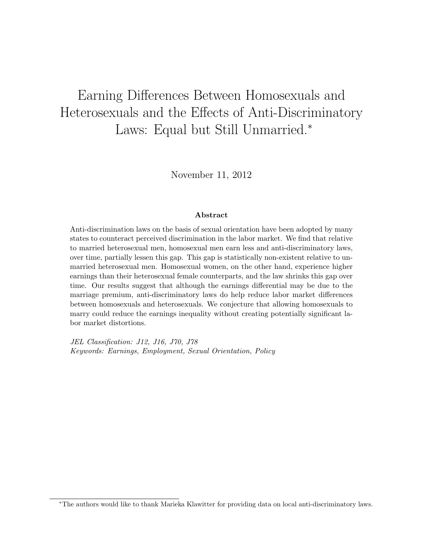# Earning Differences Between Homosexuals and Heterosexuals and the Effects of Anti-Discriminatory Laws: Equal but Still Unmarried.<sup>∗</sup>

November 11, 2012

#### Abstract

Anti-discrimination laws on the basis of sexual orientation have been adopted by many states to counteract perceived discrimination in the labor market. We find that relative to married heterosexual men, homosexual men earn less and anti-discriminatory laws, over time, partially lessen this gap. This gap is statistically non-existent relative to unmarried heterosexual men. Homosexual women, on the other hand, experience higher earnings than their heterosexual female counterparts, and the law shrinks this gap over time. Our results suggest that although the earnings differential may be due to the marriage premium, anti-discriminatory laws do help reduce labor market differences between homosexuals and heterosexuals. We conjecture that allowing homosexuals to marry could reduce the earnings inequality without creating potentially significant labor market distortions.

JEL Classification: J12, J16, J70, J78 Keywords: Earnings, Employment, Sexual Orientation, Policy

<sup>∗</sup>The authors would like to thank Marieka Klawitter for providing data on local anti-discriminatory laws.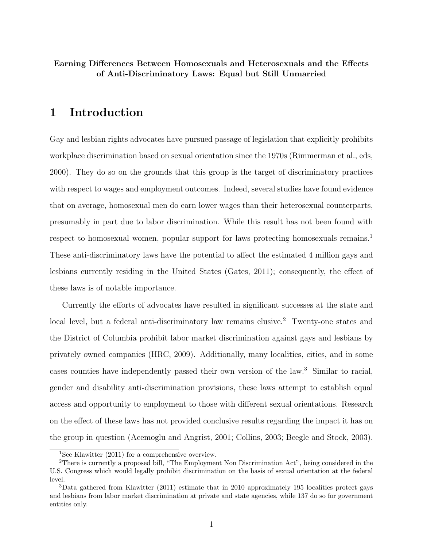Earning Differences Between Homosexuals and Heterosexuals and the Effects of Anti-Discriminatory Laws: Equal but Still Unmarried

# 1 Introduction

Gay and lesbian rights advocates have pursued passage of legislation that explicitly prohibits workplace discrimination based on sexual orientation since the 1970s (Rimmerman et al., eds, 2000). They do so on the grounds that this group is the target of discriminatory practices with respect to wages and employment outcomes. Indeed, several studies have found evidence that on average, homosexual men do earn lower wages than their heterosexual counterparts, presumably in part due to labor discrimination. While this result has not been found with respect to homosexual women, popular support for laws protecting homosexuals remains.<sup>1</sup> These anti-discriminatory laws have the potential to affect the estimated 4 million gays and lesbians currently residing in the United States (Gates, 2011); consequently, the effect of these laws is of notable importance.

Currently the efforts of advocates have resulted in significant successes at the state and local level, but a federal anti-discriminatory law remains elusive.<sup>2</sup> Twenty-one states and the District of Columbia prohibit labor market discrimination against gays and lesbians by privately owned companies (HRC, 2009). Additionally, many localities, cities, and in some cases counties have independently passed their own version of the law.<sup>3</sup> Similar to racial, gender and disability anti-discrimination provisions, these laws attempt to establish equal access and opportunity to employment to those with different sexual orientations. Research on the effect of these laws has not provided conclusive results regarding the impact it has on the group in question (Acemoglu and Angrist, 2001; Collins, 2003; Beegle and Stock, 2003).

<sup>&</sup>lt;sup>1</sup>See Klawitter (2011) for a comprehensive overview.

<sup>2</sup>There is currently a proposed bill, "The Employment Non Discrimination Act", being considered in the U.S. Congress which would legally prohibit discrimination on the basis of sexual orientation at the federal level.

<sup>3</sup>Data gathered from Klawitter (2011) estimate that in 2010 approximately 195 localities protect gays and lesbians from labor market discrimination at private and state agencies, while 137 do so for government entities only.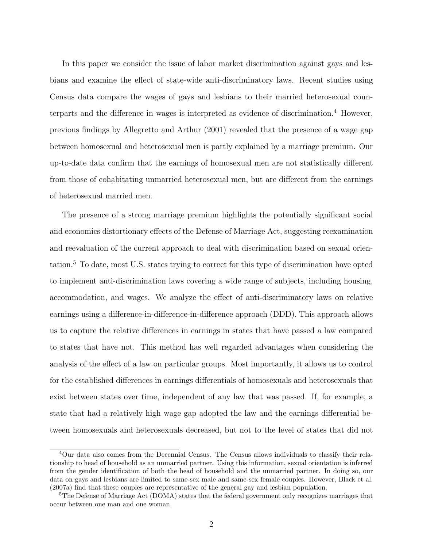In this paper we consider the issue of labor market discrimination against gays and lesbians and examine the effect of state-wide anti-discriminatory laws. Recent studies using Census data compare the wages of gays and lesbians to their married heterosexual counterparts and the difference in wages is interpreted as evidence of discrimination.<sup>4</sup> However, previous findings by Allegretto and Arthur (2001) revealed that the presence of a wage gap between homosexual and heterosexual men is partly explained by a marriage premium. Our up-to-date data confirm that the earnings of homosexual men are not statistically different from those of cohabitating unmarried heterosexual men, but are different from the earnings of heterosexual married men.

The presence of a strong marriage premium highlights the potentially significant social and economics distortionary effects of the Defense of Marriage Act, suggesting reexamination and reevaluation of the current approach to deal with discrimination based on sexual orientation.<sup>5</sup> To date, most U.S. states trying to correct for this type of discrimination have opted to implement anti-discrimination laws covering a wide range of subjects, including housing, accommodation, and wages. We analyze the effect of anti-discriminatory laws on relative earnings using a difference-in-difference-in-difference approach (DDD). This approach allows us to capture the relative differences in earnings in states that have passed a law compared to states that have not. This method has well regarded advantages when considering the analysis of the effect of a law on particular groups. Most importantly, it allows us to control for the established differences in earnings differentials of homosexuals and heterosexuals that exist between states over time, independent of any law that was passed. If, for example, a state that had a relatively high wage gap adopted the law and the earnings differential between homosexuals and heterosexuals decreased, but not to the level of states that did not

<sup>4</sup>Our data also comes from the Decennial Census. The Census allows individuals to classify their relationship to head of household as an unmarried partner. Using this information, sexual orientation is inferred from the gender identification of both the head of household and the unmarried partner. In doing so, our data on gays and lesbians are limited to same-sex male and same-sex female couples. However, Black et al. (2007a) find that these couples are representative of the general gay and lesbian population.

<sup>&</sup>lt;sup>5</sup>The Defense of Marriage Act (DOMA) states that the federal government only recognizes marriages that occur between one man and one woman.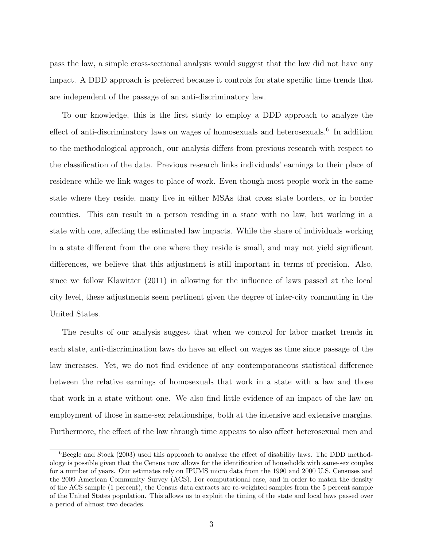pass the law, a simple cross-sectional analysis would suggest that the law did not have any impact. A DDD approach is preferred because it controls for state specific time trends that are independent of the passage of an anti-discriminatory law.

To our knowledge, this is the first study to employ a DDD approach to analyze the effect of anti-discriminatory laws on wages of homosexuals and heterosexuals.<sup>6</sup> In addition to the methodological approach, our analysis differs from previous research with respect to the classification of the data. Previous research links individuals' earnings to their place of residence while we link wages to place of work. Even though most people work in the same state where they reside, many live in either MSAs that cross state borders, or in border counties. This can result in a person residing in a state with no law, but working in a state with one, affecting the estimated law impacts. While the share of individuals working in a state different from the one where they reside is small, and may not yield significant differences, we believe that this adjustment is still important in terms of precision. Also, since we follow Klawitter (2011) in allowing for the influence of laws passed at the local city level, these adjustments seem pertinent given the degree of inter-city commuting in the United States.

The results of our analysis suggest that when we control for labor market trends in each state, anti-discrimination laws do have an effect on wages as time since passage of the law increases. Yet, we do not find evidence of any contemporaneous statistical difference between the relative earnings of homosexuals that work in a state with a law and those that work in a state without one. We also find little evidence of an impact of the law on employment of those in same-sex relationships, both at the intensive and extensive margins. Furthermore, the effect of the law through time appears to also affect heterosexual men and

 ${}^{6}$ Beegle and Stock (2003) used this approach to analyze the effect of disability laws. The DDD methodology is possible given that the Census now allows for the identification of households with same-sex couples for a number of years. Our estimates rely on IPUMS micro data from the 1990 and 2000 U.S. Censuses and the 2009 American Community Survey (ACS). For computational ease, and in order to match the density of the ACS sample (1 percent), the Census data extracts are re-weighted samples from the 5 percent sample of the United States population. This allows us to exploit the timing of the state and local laws passed over a period of almost two decades.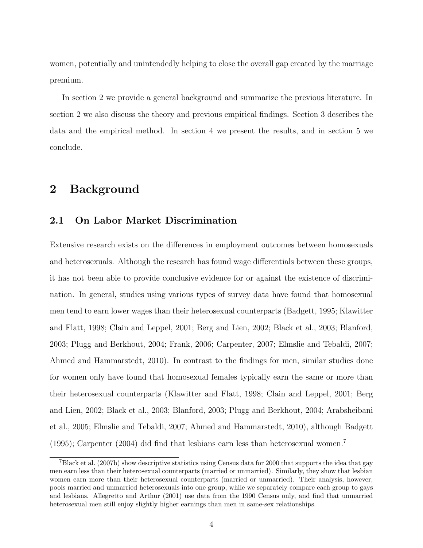women, potentially and unintendedly helping to close the overall gap created by the marriage premium.

In section 2 we provide a general background and summarize the previous literature. In section 2 we also discuss the theory and previous empirical findings. Section 3 describes the data and the empirical method. In section 4 we present the results, and in section 5 we conclude.

# 2 Background

### 2.1 On Labor Market Discrimination

Extensive research exists on the differences in employment outcomes between homosexuals and heterosexuals. Although the research has found wage differentials between these groups, it has not been able to provide conclusive evidence for or against the existence of discrimination. In general, studies using various types of survey data have found that homosexual men tend to earn lower wages than their heterosexual counterparts (Badgett, 1995; Klawitter and Flatt, 1998; Clain and Leppel, 2001; Berg and Lien, 2002; Black et al., 2003; Blanford, 2003; Plugg and Berkhout, 2004; Frank, 2006; Carpenter, 2007; Elmslie and Tebaldi, 2007; Ahmed and Hammarstedt, 2010). In contrast to the findings for men, similar studies done for women only have found that homosexual females typically earn the same or more than their heterosexual counterparts (Klawitter and Flatt, 1998; Clain and Leppel, 2001; Berg and Lien, 2002; Black et al., 2003; Blanford, 2003; Plugg and Berkhout, 2004; Arabsheibani et al., 2005; Elmslie and Tebaldi, 2007; Ahmed and Hammarstedt, 2010), although Badgett (1995); Carpenter (2004) did find that lesbians earn less than heterosexual women.<sup>7</sup>

<sup>7</sup>Black et al. (2007b) show descriptive statistics using Census data for 2000 that supports the idea that gay men earn less than their heterosexual counterparts (married or unmarried). Similarly, they show that lesbian women earn more than their heterosexual counterparts (married or unmarried). Their analysis, however, pools married and unmarried heterosexuals into one group, while we separately compare each group to gays and lesbians. Allegretto and Arthur (2001) use data from the 1990 Census only, and find that unmarried heterosexual men still enjoy slightly higher earnings than men in same-sex relationships.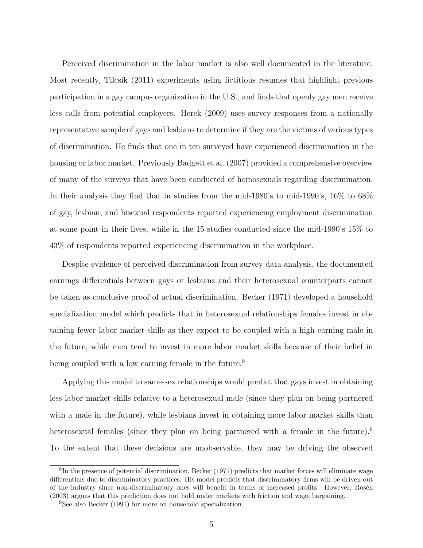Perceived discrimination in the labor market is also well documented in the literature. Most recently, Tilcsik (2011) experiments using fictitious resumes that highlight previous participation in a gay campus organization in the U.S., and finds that openly gay men receive less calls from potential employers. Herek (2009) uses survey responses from a nationally representative sample of gays and lesbians to determine if they are the victims of various types of discrimination. He finds that one in ten surveyed have experienced discrimination in the housing or labor market. Previously Badgett et al. (2007) provided a comprehensive overview of many of the surveys that have been conducted of homosexuals regarding discrimination. In their analysis they find that in studies from the mid-1980's to mid-1990's, 16% to 68% of gay, lesbian, and bisexual respondents reported experiencing employment discrimination at some point in their lives, while in the 15 studies conducted since the mid-1990's 15% to 43% of respondents reported experiencing discrimination in the workplace.

Despite evidence of perceived discrimination from survey data analysis, the documented earnings differentials between gays or lesbians and their heterosexual counterparts cannot be taken as conclusive proof of actual discrimination. Becker (1971) developed a household specialization model which predicts that in heterosexual relationships females invest in obtaining fewer labor market skills as they expect to be coupled with a high earning male in the future, while men tend to invest in more labor market skills because of their belief in being coupled with a low earning female in the future.<sup>8</sup>

Applying this model to same-sex relationships would predict that gays invest in obtaining less labor market skills relative to a heterosexual male (since they plan on being partnered with a male in the future), while lesbians invest in obtaining more labor market skills than heterosexual females (since they plan on being partnered with a female in the future).<sup>9</sup> To the extent that these decisions are unobservable, they may be driving the observed

<sup>&</sup>lt;sup>8</sup>In the presence of potential discrimination, Becker (1971) predicts that market forces will eliminate wage differentials due to discriminatory practices. His model predicts that discriminatory firms will be driven out of the industry since non-discriminatory ones will benefit in terms of increased profits. However, Rosén (2003) argues that this prediction does not hold under markets with friction and wage bargaining.

<sup>&</sup>lt;sup>9</sup>See also Becker (1991) for more on household specialization.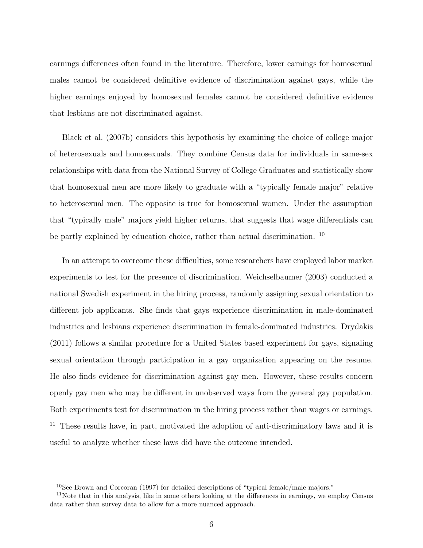earnings differences often found in the literature. Therefore, lower earnings for homosexual males cannot be considered definitive evidence of discrimination against gays, while the higher earnings enjoyed by homosexual females cannot be considered definitive evidence that lesbians are not discriminated against.

Black et al. (2007b) considers this hypothesis by examining the choice of college major of heterosexuals and homosexuals. They combine Census data for individuals in same-sex relationships with data from the National Survey of College Graduates and statistically show that homosexual men are more likely to graduate with a "typically female major" relative to heterosexual men. The opposite is true for homosexual women. Under the assumption that "typically male" majors yield higher returns, that suggests that wage differentials can be partly explained by education choice, rather than actual discrimination.<sup>10</sup>

In an attempt to overcome these difficulties, some researchers have employed labor market experiments to test for the presence of discrimination. Weichselbaumer (2003) conducted a national Swedish experiment in the hiring process, randomly assigning sexual orientation to different job applicants. She finds that gays experience discrimination in male-dominated industries and lesbians experience discrimination in female-dominated industries. Drydakis (2011) follows a similar procedure for a United States based experiment for gays, signaling sexual orientation through participation in a gay organization appearing on the resume. He also finds evidence for discrimination against gay men. However, these results concern openly gay men who may be different in unobserved ways from the general gay population. Both experiments test for discrimination in the hiring process rather than wages or earnings. <sup>11</sup> These results have, in part, motivated the adoption of anti-discriminatory laws and it is useful to analyze whether these laws did have the outcome intended.

<sup>&</sup>lt;sup>10</sup>See Brown and Corcoran (1997) for detailed descriptions of "typical female/male majors."

<sup>&</sup>lt;sup>11</sup>Note that in this analysis, like in some others looking at the differences in earnings, we employ Census data rather than survey data to allow for a more nuanced approach.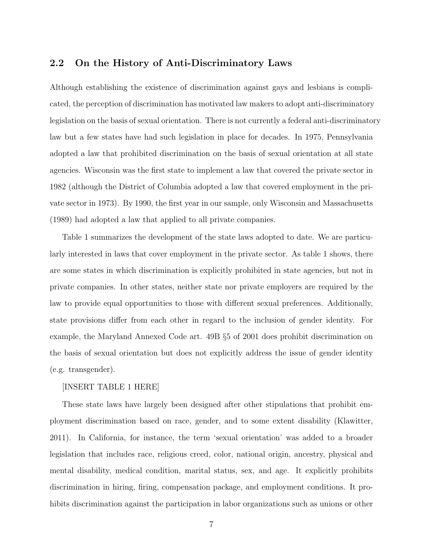### 2.2 On the History of Anti-Discriminatory Laws

Although establishing the existence of discrimination against gays and lesbians is complicated, the perception of discrimination has motivated law makers to adopt anti-discriminatory legislation on the basis of sexual orientation. There is not currently a federal anti-discriminatory law but a few states have had such legislation in place for decades. In 1975, Pennsylvania adopted a law that prohibited discrimination on the basis of sexual orientation at all state agencies. Wisconsin was the first state to implement a law that covered the private sector in 1982 (although the District of Columbia adopted a law that covered employment in the private sector in 1973). By 1990, the first year in our sample, only Wisconsin and Massachusetts (1989) had adopted a law that applied to all private companies.

Table 1 summarizes the development of the state laws adopted to date. We are particularly interested in laws that cover employment in the private sector. As table 1 shows, there are some states in which discrimination is explicitly prohibited in state agencies, but not in private companies. In other states, neither state nor private employers are required by the law to provide equal opportunities to those with different sexual preferences. Additionally, state provisions differ from each other in regard to the inclusion of gender identity. For example, the Maryland Annexed Code art. 49B §5 of 2001 does prohibit discrimination on the basis of sexual orientation but does not explicitly address the issue of gender identity (e.g. transgender).

#### [INSERT TABLE 1 HERE]

These state laws have largely been designed after other stipulations that prohibit employment discrimination based on race, gender, and to some extent disability (Klawitter, 2011). In California, for instance, the term 'sexual orientation' was added to a broader legislation that includes race, religious creed, color, national origin, ancestry, physical and mental disability, medical condition, marital status, sex, and age. It explicitly prohibits discrimination in hiring, firing, compensation package, and employment conditions. It prohibits discrimination against the participation in labor organizations such as unions or other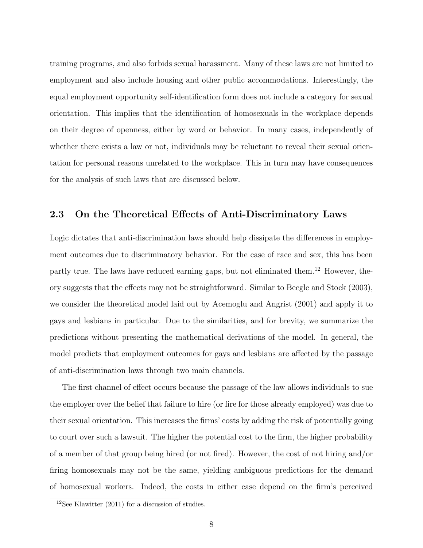training programs, and also forbids sexual harassment. Many of these laws are not limited to employment and also include housing and other public accommodations. Interestingly, the equal employment opportunity self-identification form does not include a category for sexual orientation. This implies that the identification of homosexuals in the workplace depends on their degree of openness, either by word or behavior. In many cases, independently of whether there exists a law or not, individuals may be reluctant to reveal their sexual orientation for personal reasons unrelated to the workplace. This in turn may have consequences for the analysis of such laws that are discussed below.

## 2.3 On the Theoretical Effects of Anti-Discriminatory Laws

Logic dictates that anti-discrimination laws should help dissipate the differences in employment outcomes due to discriminatory behavior. For the case of race and sex, this has been partly true. The laws have reduced earning gaps, but not eliminated them.<sup>12</sup> However, theory suggests that the effects may not be straightforward. Similar to Beegle and Stock (2003), we consider the theoretical model laid out by Acemoglu and Angrist (2001) and apply it to gays and lesbians in particular. Due to the similarities, and for brevity, we summarize the predictions without presenting the mathematical derivations of the model. In general, the model predicts that employment outcomes for gays and lesbians are affected by the passage of anti-discrimination laws through two main channels.

The first channel of effect occurs because the passage of the law allows individuals to sue the employer over the belief that failure to hire (or fire for those already employed) was due to their sexual orientation. This increases the firms' costs by adding the risk of potentially going to court over such a lawsuit. The higher the potential cost to the firm, the higher probability of a member of that group being hired (or not fired). However, the cost of not hiring and/or firing homosexuals may not be the same, yielding ambiguous predictions for the demand of homosexual workers. Indeed, the costs in either case depend on the firm's perceived

<sup>&</sup>lt;sup>12</sup>See Klawitter (2011) for a discussion of studies.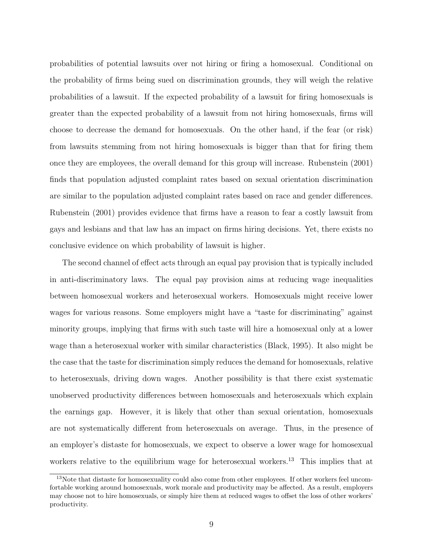probabilities of potential lawsuits over not hiring or firing a homosexual. Conditional on the probability of firms being sued on discrimination grounds, they will weigh the relative probabilities of a lawsuit. If the expected probability of a lawsuit for firing homosexuals is greater than the expected probability of a lawsuit from not hiring homosexuals, firms will choose to decrease the demand for homosexuals. On the other hand, if the fear (or risk) from lawsuits stemming from not hiring homosexuals is bigger than that for firing them once they are employees, the overall demand for this group will increase. Rubenstein (2001) finds that population adjusted complaint rates based on sexual orientation discrimination are similar to the population adjusted complaint rates based on race and gender differences. Rubenstein (2001) provides evidence that firms have a reason to fear a costly lawsuit from gays and lesbians and that law has an impact on firms hiring decisions. Yet, there exists no conclusive evidence on which probability of lawsuit is higher.

The second channel of effect acts through an equal pay provision that is typically included in anti-discriminatory laws. The equal pay provision aims at reducing wage inequalities between homosexual workers and heterosexual workers. Homosexuals might receive lower wages for various reasons. Some employers might have a "taste for discriminating" against minority groups, implying that firms with such taste will hire a homosexual only at a lower wage than a heterosexual worker with similar characteristics (Black, 1995). It also might be the case that the taste for discrimination simply reduces the demand for homosexuals, relative to heterosexuals, driving down wages. Another possibility is that there exist systematic unobserved productivity differences between homosexuals and heterosexuals which explain the earnings gap. However, it is likely that other than sexual orientation, homosexuals are not systematically different from heterosexuals on average. Thus, in the presence of an employer's distaste for homosexuals, we expect to observe a lower wage for homosexual workers relative to the equilibrium wage for heterosexual workers.<sup>13</sup> This implies that at

<sup>&</sup>lt;sup>13</sup>Note that distaste for homosexuality could also come from other employees. If other workers feel uncomfortable working around homosexuals, work morale and productivity may be affected. As a result, employers may choose not to hire homosexuals, or simply hire them at reduced wages to offset the loss of other workers' productivity.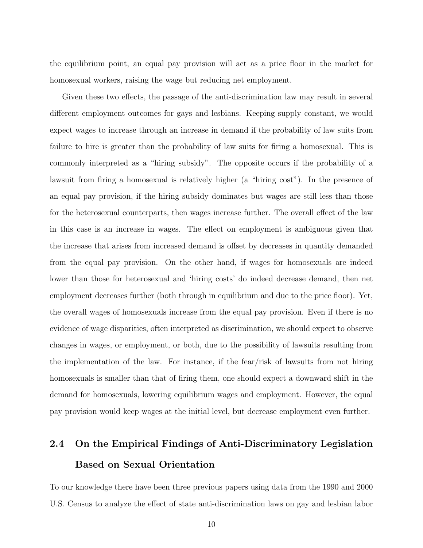the equilibrium point, an equal pay provision will act as a price floor in the market for homosexual workers, raising the wage but reducing net employment.

Given these two effects, the passage of the anti-discrimination law may result in several different employment outcomes for gays and lesbians. Keeping supply constant, we would expect wages to increase through an increase in demand if the probability of law suits from failure to hire is greater than the probability of law suits for firing a homosexual. This is commonly interpreted as a "hiring subsidy". The opposite occurs if the probability of a lawsuit from firing a homosexual is relatively higher (a "hiring cost"). In the presence of an equal pay provision, if the hiring subsidy dominates but wages are still less than those for the heterosexual counterparts, then wages increase further. The overall effect of the law in this case is an increase in wages. The effect on employment is ambiguous given that the increase that arises from increased demand is offset by decreases in quantity demanded from the equal pay provision. On the other hand, if wages for homosexuals are indeed lower than those for heterosexual and 'hiring costs' do indeed decrease demand, then net employment decreases further (both through in equilibrium and due to the price floor). Yet, the overall wages of homosexuals increase from the equal pay provision. Even if there is no evidence of wage disparities, often interpreted as discrimination, we should expect to observe changes in wages, or employment, or both, due to the possibility of lawsuits resulting from the implementation of the law. For instance, if the fear/risk of lawsuits from not hiring homosexuals is smaller than that of firing them, one should expect a downward shift in the demand for homosexuals, lowering equilibrium wages and employment. However, the equal pay provision would keep wages at the initial level, but decrease employment even further.

# 2.4 On the Empirical Findings of Anti-Discriminatory Legislation Based on Sexual Orientation

To our knowledge there have been three previous papers using data from the 1990 and 2000 U.S. Census to analyze the effect of state anti-discrimination laws on gay and lesbian labor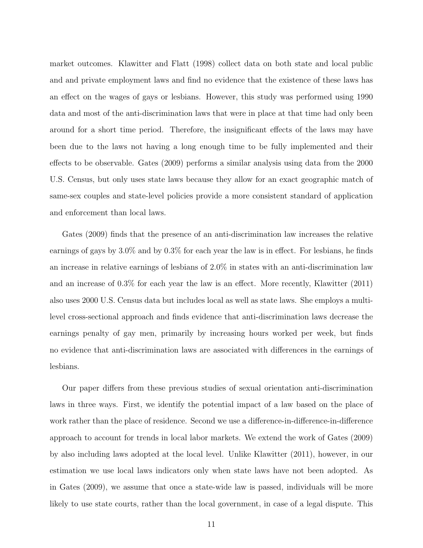market outcomes. Klawitter and Flatt (1998) collect data on both state and local public and and private employment laws and find no evidence that the existence of these laws has an effect on the wages of gays or lesbians. However, this study was performed using 1990 data and most of the anti-discrimination laws that were in place at that time had only been around for a short time period. Therefore, the insignificant effects of the laws may have been due to the laws not having a long enough time to be fully implemented and their effects to be observable. Gates (2009) performs a similar analysis using data from the 2000 U.S. Census, but only uses state laws because they allow for an exact geographic match of same-sex couples and state-level policies provide a more consistent standard of application and enforcement than local laws.

Gates (2009) finds that the presence of an anti-discrimination law increases the relative earnings of gays by 3.0% and by 0.3% for each year the law is in effect. For lesbians, he finds an increase in relative earnings of lesbians of 2.0% in states with an anti-discrimination law and an increase of 0.3% for each year the law is an effect. More recently, Klawitter (2011) also uses 2000 U.S. Census data but includes local as well as state laws. She employs a multilevel cross-sectional approach and finds evidence that anti-discrimination laws decrease the earnings penalty of gay men, primarily by increasing hours worked per week, but finds no evidence that anti-discrimination laws are associated with differences in the earnings of lesbians.

Our paper differs from these previous studies of sexual orientation anti-discrimination laws in three ways. First, we identify the potential impact of a law based on the place of work rather than the place of residence. Second we use a difference-in-difference-in-difference approach to account for trends in local labor markets. We extend the work of Gates (2009) by also including laws adopted at the local level. Unlike Klawitter (2011), however, in our estimation we use local laws indicators only when state laws have not been adopted. As in Gates (2009), we assume that once a state-wide law is passed, individuals will be more likely to use state courts, rather than the local government, in case of a legal dispute. This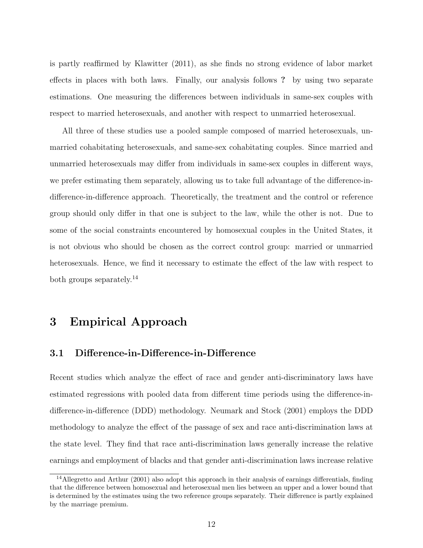is partly reaffirmed by Klawitter (2011), as she finds no strong evidence of labor market effects in places with both laws. Finally, our analysis follows ? by using two separate estimations. One measuring the differences between individuals in same-sex couples with respect to married heterosexuals, and another with respect to unmarried heterosexual.

All three of these studies use a pooled sample composed of married heterosexuals, unmarried cohabitating heterosexuals, and same-sex cohabitating couples. Since married and unmarried heterosexuals may differ from individuals in same-sex couples in different ways, we prefer estimating them separately, allowing us to take full advantage of the difference-indifference-in-difference approach. Theoretically, the treatment and the control or reference group should only differ in that one is subject to the law, while the other is not. Due to some of the social constraints encountered by homosexual couples in the United States, it is not obvious who should be chosen as the correct control group: married or unmarried heterosexuals. Hence, we find it necessary to estimate the effect of the law with respect to both groups separately.<sup>14</sup>

# 3 Empirical Approach

## 3.1 Difference-in-Difference-in-Difference

Recent studies which analyze the effect of race and gender anti-discriminatory laws have estimated regressions with pooled data from different time periods using the difference-indifference-in-difference (DDD) methodology. Neumark and Stock (2001) employs the DDD methodology to analyze the effect of the passage of sex and race anti-discrimination laws at the state level. They find that race anti-discrimination laws generally increase the relative earnings and employment of blacks and that gender anti-discrimination laws increase relative

<sup>14</sup>Allegretto and Arthur (2001) also adopt this approach in their analysis of earnings differentials, finding that the difference between homosexual and heterosexual men lies between an upper and a lower bound that is determined by the estimates using the two reference groups separately. Their difference is partly explained by the marriage premium.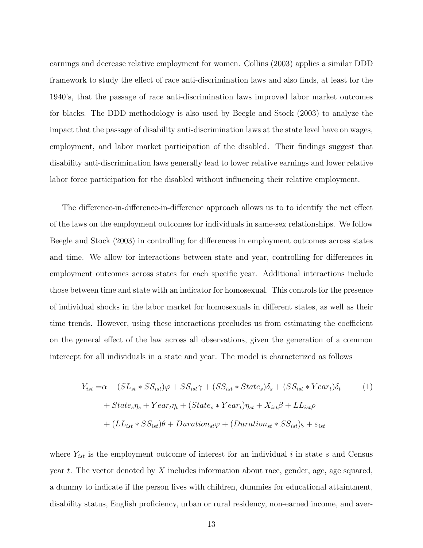earnings and decrease relative employment for women. Collins (2003) applies a similar DDD framework to study the effect of race anti-discrimination laws and also finds, at least for the 1940's, that the passage of race anti-discrimination laws improved labor market outcomes for blacks. The DDD methodology is also used by Beegle and Stock (2003) to analyze the impact that the passage of disability anti-discrimination laws at the state level have on wages, employment, and labor market participation of the disabled. Their findings suggest that disability anti-discrimination laws generally lead to lower relative earnings and lower relative labor force participation for the disabled without influencing their relative employment.

The difference-in-difference-in-difference approach allows us to to identify the net effect of the laws on the employment outcomes for individuals in same-sex relationships. We follow Beegle and Stock (2003) in controlling for differences in employment outcomes across states and time. We allow for interactions between state and year, controlling for differences in employment outcomes across states for each specific year. Additional interactions include those between time and state with an indicator for homosexual. This controls for the presence of individual shocks in the labor market for homosexuals in different states, as well as their time trends. However, using these interactions precludes us from estimating the coefficient on the general effect of the law across all observations, given the generation of a common intercept for all individuals in a state and year. The model is characterized as follows

$$
Y_{ist} = \alpha + (SL_{st} * SS_{ist})\varphi + SS_{ist}\gamma + (SS_{ist} * State_s)\delta_s + (SS_{ist} * Year_t)\delta_t \qquad (1)
$$

$$
+ State_s \eta_s + Year_t \eta_t + (State_s * Year_t)\eta_{st} + X_{ist}\beta + LL_{ist}\rho
$$

$$
+ (LL_{ist} * SS_{ist})\theta + Duration_{st}\varphi + (Duration_{st} * SS_{ist})\varsigma + \varepsilon_{ist}
$$

where  $Y_{ist}$  is the employment outcome of interest for an individual i in state s and Census year t. The vector denoted by X includes information about race, gender, age, age squared, a dummy to indicate if the person lives with children, dummies for educational attaintment, disability status, English proficiency, urban or rural residency, non-earned income, and aver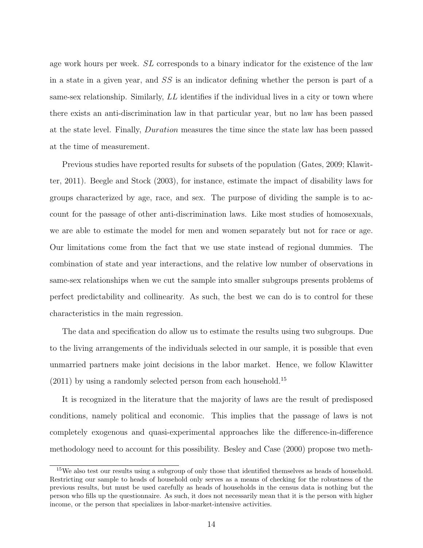age work hours per week. SL corresponds to a binary indicator for the existence of the law in a state in a given year, and SS is an indicator defining whether the person is part of a same-sex relationship. Similarly,  $LL$  identifies if the individual lives in a city or town where there exists an anti-discrimination law in that particular year, but no law has been passed at the state level. Finally, Duration measures the time since the state law has been passed at the time of measurement.

Previous studies have reported results for subsets of the population (Gates, 2009; Klawitter, 2011). Beegle and Stock (2003), for instance, estimate the impact of disability laws for groups characterized by age, race, and sex. The purpose of dividing the sample is to account for the passage of other anti-discrimination laws. Like most studies of homosexuals, we are able to estimate the model for men and women separately but not for race or age. Our limitations come from the fact that we use state instead of regional dummies. The combination of state and year interactions, and the relative low number of observations in same-sex relationships when we cut the sample into smaller subgroups presents problems of perfect predictability and collinearity. As such, the best we can do is to control for these characteristics in the main regression.

The data and specification do allow us to estimate the results using two subgroups. Due to the living arrangements of the individuals selected in our sample, it is possible that even unmarried partners make joint decisions in the labor market. Hence, we follow Klawitter  $(2011)$  by using a randomly selected person from each household.<sup>15</sup>

It is recognized in the literature that the majority of laws are the result of predisposed conditions, namely political and economic. This implies that the passage of laws is not completely exogenous and quasi-experimental approaches like the difference-in-difference methodology need to account for this possibility. Besley and Case (2000) propose two meth-

<sup>&</sup>lt;sup>15</sup>We also test our results using a subgroup of only those that identified themselves as heads of household. Restricting our sample to heads of household only serves as a means of checking for the robustness of the previous results, but must be used carefully as heads of households in the census data is nothing but the person who fills up the questionnaire. As such, it does not necessarily mean that it is the person with higher income, or the person that specializes in labor-market-intensive activities.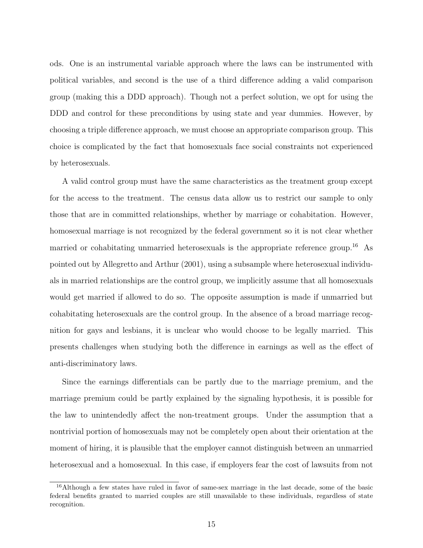ods. One is an instrumental variable approach where the laws can be instrumented with political variables, and second is the use of a third difference adding a valid comparison group (making this a DDD approach). Though not a perfect solution, we opt for using the DDD and control for these preconditions by using state and year dummies. However, by choosing a triple difference approach, we must choose an appropriate comparison group. This choice is complicated by the fact that homosexuals face social constraints not experienced by heterosexuals.

A valid control group must have the same characteristics as the treatment group except for the access to the treatment. The census data allow us to restrict our sample to only those that are in committed relationships, whether by marriage or cohabitation. However, homosexual marriage is not recognized by the federal government so it is not clear whether married or cohabitating unmarried heterosexuals is the appropriate reference group.<sup>16</sup> As pointed out by Allegretto and Arthur (2001), using a subsample where heterosexual individuals in married relationships are the control group, we implicitly assume that all homosexuals would get married if allowed to do so. The opposite assumption is made if unmarried but cohabitating heterosexuals are the control group. In the absence of a broad marriage recognition for gays and lesbians, it is unclear who would choose to be legally married. This presents challenges when studying both the difference in earnings as well as the effect of anti-discriminatory laws.

Since the earnings differentials can be partly due to the marriage premium, and the marriage premium could be partly explained by the signaling hypothesis, it is possible for the law to unintendedly affect the non-treatment groups. Under the assumption that a nontrivial portion of homosexuals may not be completely open about their orientation at the moment of hiring, it is plausible that the employer cannot distinguish between an unmarried heterosexual and a homosexual. In this case, if employers fear the cost of lawsuits from not

<sup>&</sup>lt;sup>16</sup>Although a few states have ruled in favor of same-sex marriage in the last decade, some of the basic federal benefits granted to married couples are still unavailable to these individuals, regardless of state recognition.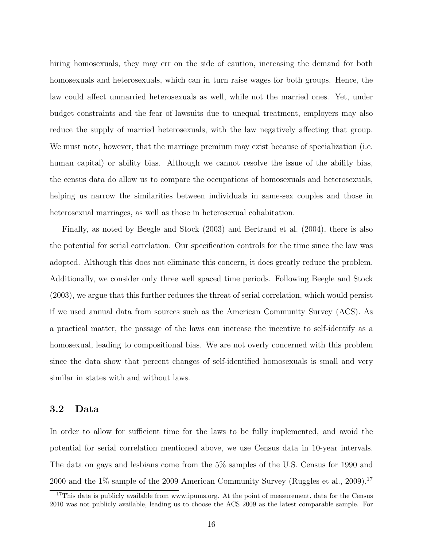hiring homosexuals, they may err on the side of caution, increasing the demand for both homosexuals and heterosexuals, which can in turn raise wages for both groups. Hence, the law could affect unmarried heterosexuals as well, while not the married ones. Yet, under budget constraints and the fear of lawsuits due to unequal treatment, employers may also reduce the supply of married heterosexuals, with the law negatively affecting that group. We must note, however, that the marriage premium may exist because of specialization (i.e. human capital) or ability bias. Although we cannot resolve the issue of the ability bias, the census data do allow us to compare the occupations of homosexuals and heterosexuals, helping us narrow the similarities between individuals in same-sex couples and those in heterosexual marriages, as well as those in heterosexual cohabitation.

Finally, as noted by Beegle and Stock (2003) and Bertrand et al. (2004), there is also the potential for serial correlation. Our specification controls for the time since the law was adopted. Although this does not eliminate this concern, it does greatly reduce the problem. Additionally, we consider only three well spaced time periods. Following Beegle and Stock (2003), we argue that this further reduces the threat of serial correlation, which would persist if we used annual data from sources such as the American Community Survey (ACS). As a practical matter, the passage of the laws can increase the incentive to self-identify as a homosexual, leading to compositional bias. We are not overly concerned with this problem since the data show that percent changes of self-identified homosexuals is small and very similar in states with and without laws.

### 3.2 Data

In order to allow for sufficient time for the laws to be fully implemented, and avoid the potential for serial correlation mentioned above, we use Census data in 10-year intervals. The data on gays and lesbians come from the 5% samples of the U.S. Census for 1990 and 2000 and the  $1\%$  sample of the 2009 American Community Survey (Ruggles et al., 2009).<sup>17</sup>

<sup>&</sup>lt;sup>17</sup>This data is publicly available from www.ipums.org. At the point of measurement, data for the Census 2010 was not publicly available, leading us to choose the ACS 2009 as the latest comparable sample. For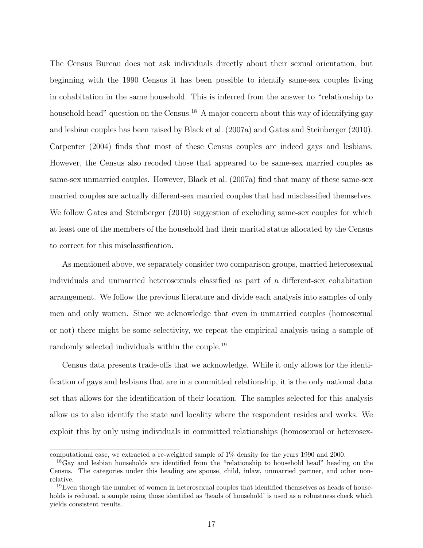The Census Bureau does not ask individuals directly about their sexual orientation, but beginning with the 1990 Census it has been possible to identify same-sex couples living in cohabitation in the same household. This is inferred from the answer to "relationship to household head" question on the Census.<sup>18</sup> A major concern about this way of identifying gay and lesbian couples has been raised by Black et al. (2007a) and Gates and Steinberger (2010). Carpenter (2004) finds that most of these Census couples are indeed gays and lesbians. However, the Census also recoded those that appeared to be same-sex married couples as same-sex unmarried couples. However, Black et al. (2007a) find that many of these same-sex married couples are actually different-sex married couples that had misclassified themselves. We follow Gates and Steinberger (2010) suggestion of excluding same-sex couples for which at least one of the members of the household had their marital status allocated by the Census to correct for this misclassification.

As mentioned above, we separately consider two comparison groups, married heterosexual individuals and unmarried heterosexuals classified as part of a different-sex cohabitation arrangement. We follow the previous literature and divide each analysis into samples of only men and only women. Since we acknowledge that even in unmarried couples (homosexual or not) there might be some selectivity, we repeat the empirical analysis using a sample of randomly selected individuals within the couple.<sup>19</sup>

Census data presents trade-offs that we acknowledge. While it only allows for the identification of gays and lesbians that are in a committed relationship, it is the only national data set that allows for the identification of their location. The samples selected for this analysis allow us to also identify the state and locality where the respondent resides and works. We exploit this by only using individuals in committed relationships (homosexual or heterosex-

computational ease, we extracted a re-weighted sample of 1% density for the years 1990 and 2000.

<sup>&</sup>lt;sup>18</sup>Gay and lesbian households are identified from the "relationship to household head" heading on the Census. The categories under this heading are spouse, child, inlaw, unmarried partner, and other nonrelative.

 $19E$ ven though the number of women in heterosexual couples that identified themselves as heads of households is reduced, a sample using those identified as 'heads of household' is used as a robustness check which yields consistent results.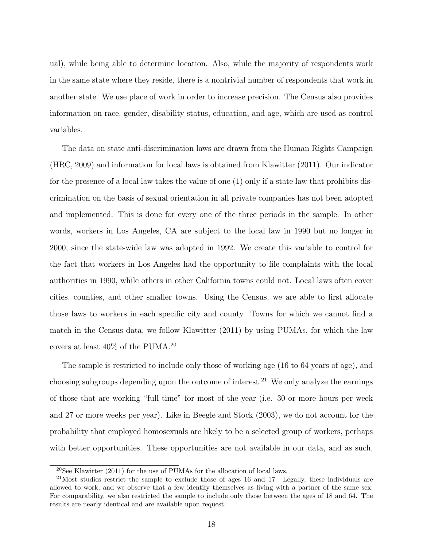ual), while being able to determine location. Also, while the majority of respondents work in the same state where they reside, there is a nontrivial number of respondents that work in another state. We use place of work in order to increase precision. The Census also provides information on race, gender, disability status, education, and age, which are used as control variables.

The data on state anti-discrimination laws are drawn from the Human Rights Campaign (HRC, 2009) and information for local laws is obtained from Klawitter (2011). Our indicator for the presence of a local law takes the value of one (1) only if a state law that prohibits discrimination on the basis of sexual orientation in all private companies has not been adopted and implemented. This is done for every one of the three periods in the sample. In other words, workers in Los Angeles, CA are subject to the local law in 1990 but no longer in 2000, since the state-wide law was adopted in 1992. We create this variable to control for the fact that workers in Los Angeles had the opportunity to file complaints with the local authorities in 1990, while others in other California towns could not. Local laws often cover cities, counties, and other smaller towns. Using the Census, we are able to first allocate those laws to workers in each specific city and county. Towns for which we cannot find a match in the Census data, we follow Klawitter (2011) by using PUMAs, for which the law covers at least 40% of the PUMA.<sup>20</sup>

The sample is restricted to include only those of working age (16 to 64 years of age), and choosing subgroups depending upon the outcome of interest.<sup>21</sup> We only analyze the earnings of those that are working "full time" for most of the year (i.e. 30 or more hours per week and 27 or more weeks per year). Like in Beegle and Stock (2003), we do not account for the probability that employed homosexuals are likely to be a selected group of workers, perhaps with better opportunities. These opportunities are not available in our data, and as such,

 $20$ See Klawitter (2011) for the use of PUMAs for the allocation of local laws.

<sup>21</sup>Most studies restrict the sample to exclude those of ages 16 and 17. Legally, these individuals are allowed to work, and we observe that a few identify themselves as living with a partner of the same sex. For comparability, we also restricted the sample to include only those between the ages of 18 and 64. The results are nearly identical and are available upon request.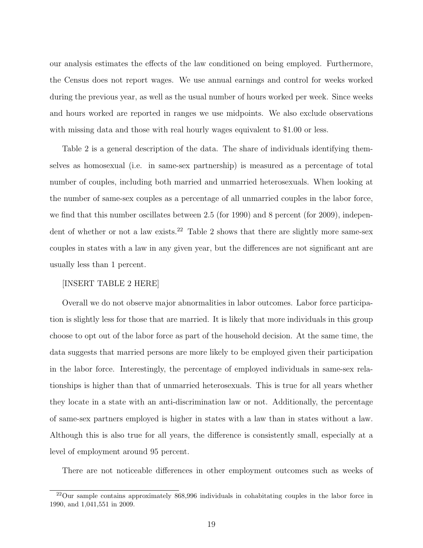our analysis estimates the effects of the law conditioned on being employed. Furthermore, the Census does not report wages. We use annual earnings and control for weeks worked during the previous year, as well as the usual number of hours worked per week. Since weeks and hours worked are reported in ranges we use midpoints. We also exclude observations with missing data and those with real hourly wages equivalent to \$1.00 or less.

Table 2 is a general description of the data. The share of individuals identifying themselves as homosexual (i.e. in same-sex partnership) is measured as a percentage of total number of couples, including both married and unmarried heterosexuals. When looking at the number of same-sex couples as a percentage of all unmarried couples in the labor force, we find that this number oscillates between 2.5 (for 1990) and 8 percent (for 2009), independent of whether or not a law exists.<sup>22</sup> Table 2 shows that there are slightly more same-sex couples in states with a law in any given year, but the differences are not significant ant are usually less than 1 percent.

#### [INSERT TABLE 2 HERE]

Overall we do not observe major abnormalities in labor outcomes. Labor force participation is slightly less for those that are married. It is likely that more individuals in this group choose to opt out of the labor force as part of the household decision. At the same time, the data suggests that married persons are more likely to be employed given their participation in the labor force. Interestingly, the percentage of employed individuals in same-sex relationships is higher than that of unmarried heterosexuals. This is true for all years whether they locate in a state with an anti-discrimination law or not. Additionally, the percentage of same-sex partners employed is higher in states with a law than in states without a law. Although this is also true for all years, the difference is consistently small, especially at a level of employment around 95 percent.

There are not noticeable differences in other employment outcomes such as weeks of

<sup>22</sup>Our sample contains approximately 868,996 individuals in cohabitating couples in the labor force in 1990, and 1,041,551 in 2009.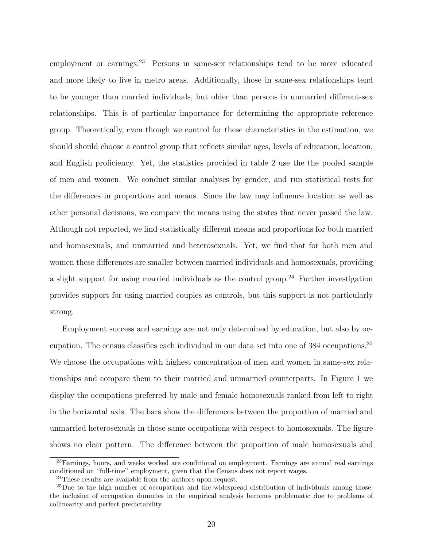employment or earnings.<sup>23</sup> Persons in same-sex relationships tend to be more educated and more likely to live in metro areas. Additionally, those in same-sex relationships tend to be younger than married individuals, but older than persons in unmarried different-sex relationships. This is of particular importance for determining the appropriate reference group. Theoretically, even though we control for these characteristics in the estimation, we should should choose a control group that reflects similar ages, levels of education, location, and English proficiency. Yet, the statistics provided in table 2 use the the pooled sample of men and women. We conduct similar analyses by gender, and run statistical tests for the differences in proportions and means. Since the law may influence location as well as other personal decisions, we compare the means using the states that never passed the law. Although not reported, we find statistically different means and proportions for both married and homosexuals, and unmarried and heterosexuals. Yet, we find that for both men and women these differences are smaller between married individuals and homosexuals, providing a slight support for using married individuals as the control group.<sup>24</sup> Further investigation provides support for using married couples as controls, but this support is not particularly strong.

Employment success and earnings are not only determined by education, but also by occupation. The census classifies each individual in our data set into one of 384 occupations.<sup>25</sup> We choose the occupations with highest concentration of men and women in same-sex relationships and compare them to their married and unmarried counterparts. In Figure 1 we display the occupations preferred by male and female homosexuals ranked from left to right in the horizontal axis. The bars show the differences between the proportion of married and unmarried heterosexuals in those same occupations with respect to homosexuals. The figure shows no clear pattern. The difference between the proportion of male homosexuals and

<sup>23</sup>Earnings, hours, and weeks worked are conditional on employment. Earnings are annual real earnings conditioned on "full-time" employment, given that the Census does not report wages.

<sup>24</sup>These results are available from the authors upon request.

<sup>&</sup>lt;sup>25</sup>Due to the high number of occupations and the widespread distribution of individuals among those, the inclusion of occupation dummies in the empirical analysis becomes problematic due to problems of collinearity and perfect predictability.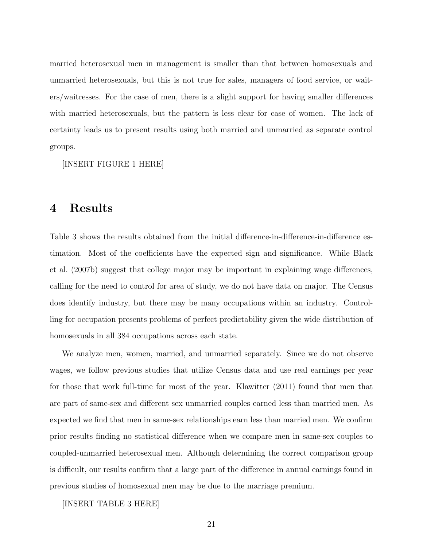married heterosexual men in management is smaller than that between homosexuals and unmarried heterosexuals, but this is not true for sales, managers of food service, or waiters/waitresses. For the case of men, there is a slight support for having smaller differences with married heterosexuals, but the pattern is less clear for case of women. The lack of certainty leads us to present results using both married and unmarried as separate control groups.

[INSERT FIGURE 1 HERE]

# 4 Results

Table 3 shows the results obtained from the initial difference-in-difference-in-difference estimation. Most of the coefficients have the expected sign and significance. While Black et al. (2007b) suggest that college major may be important in explaining wage differences, calling for the need to control for area of study, we do not have data on major. The Census does identify industry, but there may be many occupations within an industry. Controlling for occupation presents problems of perfect predictability given the wide distribution of homosexuals in all 384 occupations across each state.

We analyze men, women, married, and unmarried separately. Since we do not observe wages, we follow previous studies that utilize Census data and use real earnings per year for those that work full-time for most of the year. Klawitter (2011) found that men that are part of same-sex and different sex unmarried couples earned less than married men. As expected we find that men in same-sex relationships earn less than married men. We confirm prior results finding no statistical difference when we compare men in same-sex couples to coupled-unmarried heterosexual men. Although determining the correct comparison group is difficult, our results confirm that a large part of the difference in annual earnings found in previous studies of homosexual men may be due to the marriage premium.

[INSERT TABLE 3 HERE]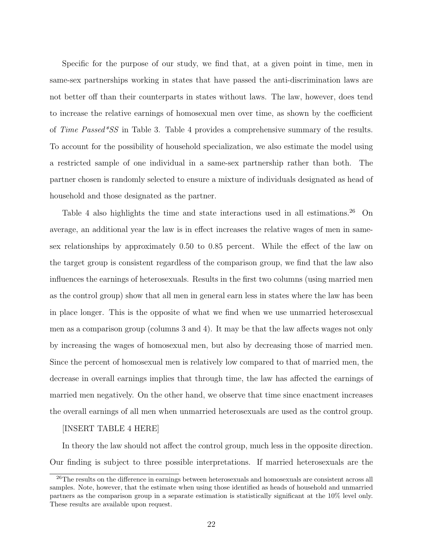Specific for the purpose of our study, we find that, at a given point in time, men in same-sex partnerships working in states that have passed the anti-discrimination laws are not better off than their counterparts in states without laws. The law, however, does tend to increase the relative earnings of homosexual men over time, as shown by the coefficient of Time Passed\*SS in Table 3. Table 4 provides a comprehensive summary of the results. To account for the possibility of household specialization, we also estimate the model using a restricted sample of one individual in a same-sex partnership rather than both. The partner chosen is randomly selected to ensure a mixture of individuals designated as head of household and those designated as the partner.

Table 4 also highlights the time and state interactions used in all estimations.<sup>26</sup> On average, an additional year the law is in effect increases the relative wages of men in samesex relationships by approximately 0.50 to 0.85 percent. While the effect of the law on the target group is consistent regardless of the comparison group, we find that the law also influences the earnings of heterosexuals. Results in the first two columns (using married men as the control group) show that all men in general earn less in states where the law has been in place longer. This is the opposite of what we find when we use unmarried heterosexual men as a comparison group (columns 3 and 4). It may be that the law affects wages not only by increasing the wages of homosexual men, but also by decreasing those of married men. Since the percent of homosexual men is relatively low compared to that of married men, the decrease in overall earnings implies that through time, the law has affected the earnings of married men negatively. On the other hand, we observe that time since enactment increases the overall earnings of all men when unmarried heterosexuals are used as the control group.

#### [INSERT TABLE 4 HERE]

In theory the law should not affect the control group, much less in the opposite direction. Our finding is subject to three possible interpretations. If married heterosexuals are the

<sup>26</sup>The results on the difference in earnings between heterosexuals and homosexuals are consistent across all samples. Note, however, that the estimate when using those identified as heads of household and unmarried partners as the comparison group in a separate estimation is statistically significant at the 10% level only. These results are available upon request.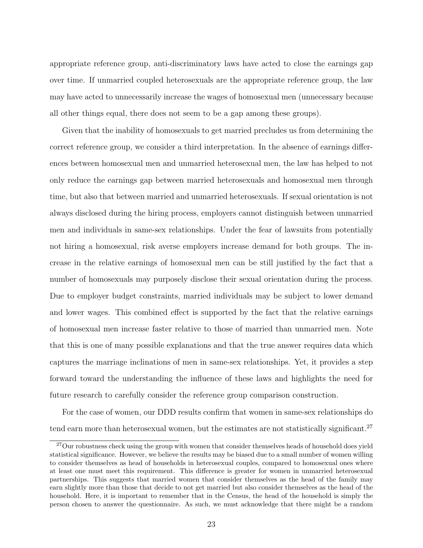appropriate reference group, anti-discriminatory laws have acted to close the earnings gap over time. If unmarried coupled heterosexuals are the appropriate reference group, the law may have acted to unnecessarily increase the wages of homosexual men (unnecessary because all other things equal, there does not seem to be a gap among these groups).

Given that the inability of homosexuals to get married precludes us from determining the correct reference group, we consider a third interpretation. In the absence of earnings differences between homosexual men and unmarried heterosexual men, the law has helped to not only reduce the earnings gap between married heterosexuals and homosexual men through time, but also that between married and unmarried heterosexuals. If sexual orientation is not always disclosed during the hiring process, employers cannot distinguish between unmarried men and individuals in same-sex relationships. Under the fear of lawsuits from potentially not hiring a homosexual, risk averse employers increase demand for both groups. The increase in the relative earnings of homosexual men can be still justified by the fact that a number of homosexuals may purposely disclose their sexual orientation during the process. Due to employer budget constraints, married individuals may be subject to lower demand and lower wages. This combined effect is supported by the fact that the relative earnings of homosexual men increase faster relative to those of married than unmarried men. Note that this is one of many possible explanations and that the true answer requires data which captures the marriage inclinations of men in same-sex relationships. Yet, it provides a step forward toward the understanding the influence of these laws and highlights the need for future research to carefully consider the reference group comparison construction.

For the case of women, our DDD results confirm that women in same-sex relationships do tend earn more than heterosexual women, but the estimates are not statistically significant.<sup>27</sup>

<sup>&</sup>lt;sup>27</sup>Our robustness check using the group with women that consider themselves heads of household does yield statistical significance. However, we believe the results may be biased due to a small number of women willing to consider themselves as head of households in heterosexual couples, compared to homosexual ones where at least one must meet this requirement. This difference is greater for women in unmarried heterosexual partnerships. This suggests that married women that consider themselves as the head of the family may earn slightly more than those that decide to not get married but also consider themselves as the head of the household. Here, it is important to remember that in the Census, the head of the household is simply the person chosen to answer the questionnaire. As such, we must acknowledge that there might be a random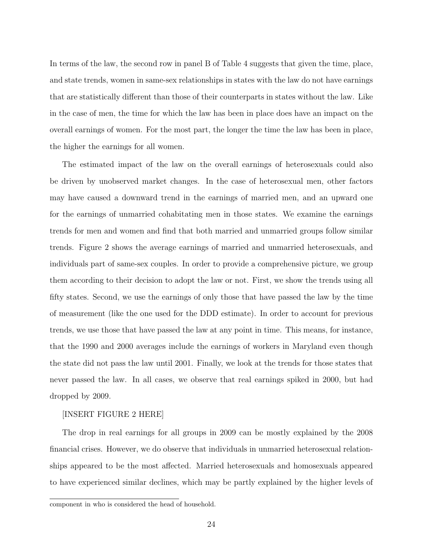In terms of the law, the second row in panel B of Table 4 suggests that given the time, place, and state trends, women in same-sex relationships in states with the law do not have earnings that are statistically different than those of their counterparts in states without the law. Like in the case of men, the time for which the law has been in place does have an impact on the overall earnings of women. For the most part, the longer the time the law has been in place, the higher the earnings for all women.

The estimated impact of the law on the overall earnings of heterosexuals could also be driven by unobserved market changes. In the case of heterosexual men, other factors may have caused a downward trend in the earnings of married men, and an upward one for the earnings of unmarried cohabitating men in those states. We examine the earnings trends for men and women and find that both married and unmarried groups follow similar trends. Figure 2 shows the average earnings of married and unmarried heterosexuals, and individuals part of same-sex couples. In order to provide a comprehensive picture, we group them according to their decision to adopt the law or not. First, we show the trends using all fifty states. Second, we use the earnings of only those that have passed the law by the time of measurement (like the one used for the DDD estimate). In order to account for previous trends, we use those that have passed the law at any point in time. This means, for instance, that the 1990 and 2000 averages include the earnings of workers in Maryland even though the state did not pass the law until 2001. Finally, we look at the trends for those states that never passed the law. In all cases, we observe that real earnings spiked in 2000, but had dropped by 2009.

#### [INSERT FIGURE 2 HERE]

The drop in real earnings for all groups in 2009 can be mostly explained by the 2008 financial crises. However, we do observe that individuals in unmarried heterosexual relationships appeared to be the most affected. Married heterosexuals and homosexuals appeared to have experienced similar declines, which may be partly explained by the higher levels of

component in who is considered the head of household.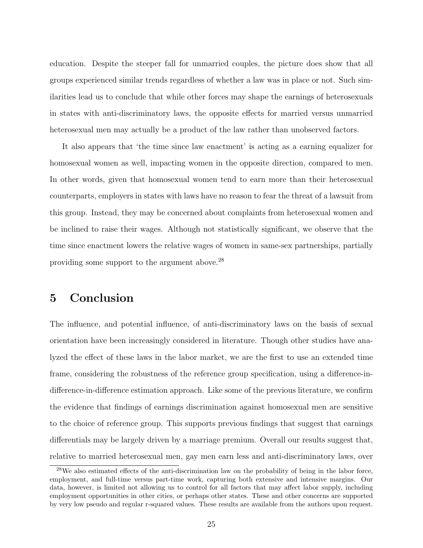education. Despite the steeper fall for unmarried couples, the picture does show that all groups experienced similar trends regardless of whether a law was in place or not. Such similarities lead us to conclude that while other forces may shape the earnings of heterosexuals in states with anti-discriminatory laws, the opposite effects for married versus unmarried heterosexual men may actually be a product of the law rather than unobserved factors.

It also appears that 'the time since law enactment' is acting as a earning equalizer for homosexual women as well, impacting women in the opposite direction, compared to men. In other words, given that homosexual women tend to earn more than their heterosexual counterparts, employers in states with laws have no reason to fear the threat of a lawsuit from this group. Instead, they may be concerned about complaints from heterosexual women and be inclined to raise their wages. Although not statistically significant, we observe that the time since enactment lowers the relative wages of women in same-sex partnerships, partially providing some support to the argument above.<sup>28</sup>

## 5 Conclusion

The influence, and potential influence, of anti-discriminatory laws on the basis of sexual orientation have been increasingly considered in literature. Though other studies have analyzed the effect of these laws in the labor market, we are the first to use an extended time frame, considering the robustness of the reference group specification, using a difference-indifference-in-difference estimation approach. Like some of the previous literature, we confirm the evidence that findings of earnings discrimination against homosexual men are sensitive to the choice of reference group. This supports previous findings that suggest that earnings differentials may be largely driven by a marriage premium. Overall our results suggest that, relative to married heterosexual men, gay men earn less and anti-discriminatory laws, over

<sup>&</sup>lt;sup>28</sup>We also estimated effects of the anti-discrimination law on the probability of being in the labor force, employment, and full-time versus part-time work, capturing both extensive and intensive margins. Our data, however, is limited not allowing us to control for all factors that may affect labor supply, including employment opportunities in other cities, or perhaps other states. These and other concerns are supported by very low pseudo and regular r-squared values. These results are available from the authors upon request.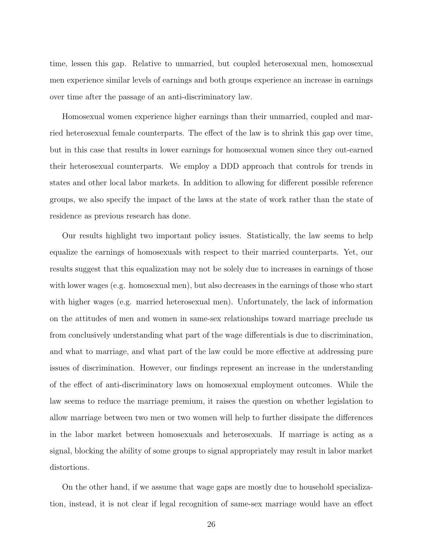time, lessen this gap. Relative to unmarried, but coupled heterosexual men, homosexual men experience similar levels of earnings and both groups experience an increase in earnings over time after the passage of an anti-discriminatory law.

Homosexual women experience higher earnings than their unmarried, coupled and married heterosexual female counterparts. The effect of the law is to shrink this gap over time, but in this case that results in lower earnings for homosexual women since they out-earned their heterosexual counterparts. We employ a DDD approach that controls for trends in states and other local labor markets. In addition to allowing for different possible reference groups, we also specify the impact of the laws at the state of work rather than the state of residence as previous research has done.

Our results highlight two important policy issues. Statistically, the law seems to help equalize the earnings of homosexuals with respect to their married counterparts. Yet, our results suggest that this equalization may not be solely due to increases in earnings of those with lower wages (e.g. homosexual men), but also decreases in the earnings of those who start with higher wages (e.g. married heterosexual men). Unfortunately, the lack of information on the attitudes of men and women in same-sex relationships toward marriage preclude us from conclusively understanding what part of the wage differentials is due to discrimination, and what to marriage, and what part of the law could be more effective at addressing pure issues of discrimination. However, our findings represent an increase in the understanding of the effect of anti-discriminatory laws on homosexual employment outcomes. While the law seems to reduce the marriage premium, it raises the question on whether legislation to allow marriage between two men or two women will help to further dissipate the differences in the labor market between homosexuals and heterosexuals. If marriage is acting as a signal, blocking the ability of some groups to signal appropriately may result in labor market distortions.

On the other hand, if we assume that wage gaps are mostly due to household specialization, instead, it is not clear if legal recognition of same-sex marriage would have an effect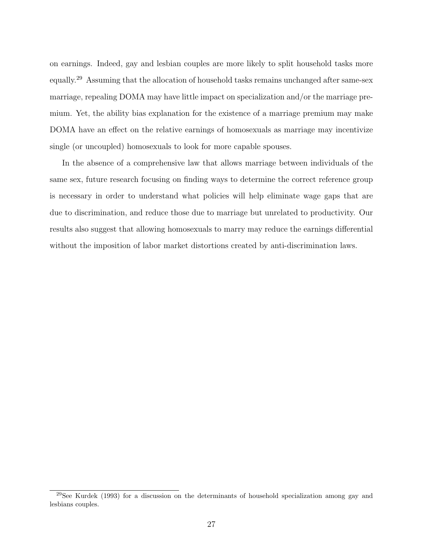on earnings. Indeed, gay and lesbian couples are more likely to split household tasks more equally.<sup>29</sup> Assuming that the allocation of household tasks remains unchanged after same-sex marriage, repealing DOMA may have little impact on specialization and/or the marriage premium. Yet, the ability bias explanation for the existence of a marriage premium may make DOMA have an effect on the relative earnings of homosexuals as marriage may incentivize single (or uncoupled) homosexuals to look for more capable spouses.

In the absence of a comprehensive law that allows marriage between individuals of the same sex, future research focusing on finding ways to determine the correct reference group is necessary in order to understand what policies will help eliminate wage gaps that are due to discrimination, and reduce those due to marriage but unrelated to productivity. Our results also suggest that allowing homosexuals to marry may reduce the earnings differential without the imposition of labor market distortions created by anti-discrimination laws.

<sup>&</sup>lt;sup>29</sup>See Kurdek (1993) for a discussion on the determinants of household specialization among gay and lesbians couples.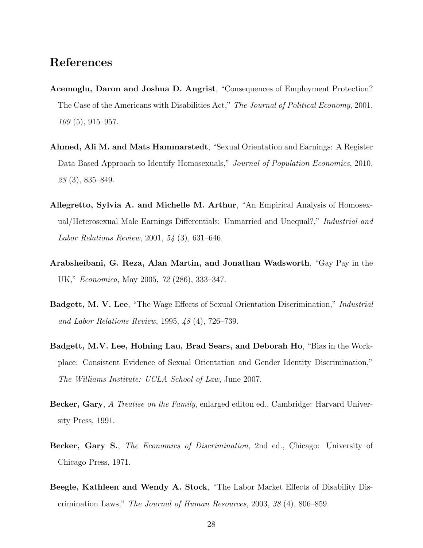## References

- Acemoglu, Daron and Joshua D. Angrist, "Consequences of Employment Protection? The Case of the Americans with Disabilities Act," The Journal of Political Economy, 2001, 109 (5), 915–957.
- Ahmed, Ali M. and Mats Hammarstedt, "Sexual Orientation and Earnings: A Register Data Based Approach to Identify Homosexuals," Journal of Population Economics, 2010, 23 (3), 835–849.
- Allegretto, Sylvia A. and Michelle M. Arthur, "An Empirical Analysis of Homosexual/Heterosexual Male Earnings Differentials: Unmarried and Unequal?," Industrial and Labor Relations Review, 2001, 54 (3), 631–646.
- Arabsheibani, G. Reza, Alan Martin, and Jonathan Wadsworth, "Gay Pay in the UK," Economica, May 2005, 72 (286), 333–347.
- Badgett, M. V. Lee, "The Wage Effects of Sexual Orientation Discrimination," Industrial and Labor Relations Review, 1995, 48 (4), 726–739.
- Badgett, M.V. Lee, Holning Lau, Brad Sears, and Deborah Ho, "Bias in the Workplace: Consistent Evidence of Sexual Orientation and Gender Identity Discrimination," The Williams Institute: UCLA School of Law, June 2007.
- Becker, Gary, A Treatise on the Family, enlarged editon ed., Cambridge: Harvard University Press, 1991.
- Becker, Gary S., The Economics of Discrimination, 2nd ed., Chicago: University of Chicago Press, 1971.
- Beegle, Kathleen and Wendy A. Stock, "The Labor Market Effects of Disability Discrimination Laws," The Journal of Human Resources, 2003, 38 (4), 806–859.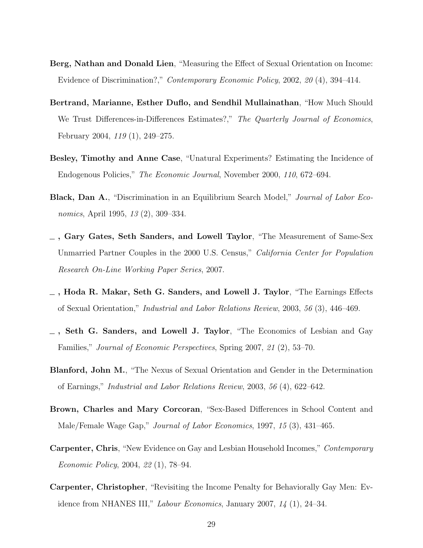- Berg, Nathan and Donald Lien, "Measuring the Effect of Sexual Orientation on Income: Evidence of Discrimination?," Contemporary Economic Policy, 2002, 20 (4), 394–414.
- Bertrand, Marianne, Esther Duflo, and Sendhil Mullainathan, "How Much Should We Trust Differences-in-Differences Estimates?," The Quarterly Journal of Economics, February 2004, 119 (1), 249–275.
- Besley, Timothy and Anne Case, "Unatural Experiments? Estimating the Incidence of Endogenous Policies," The Economic Journal, November 2000, 110, 672–694.
- Black, Dan A., "Discrimination in an Equilibrium Search Model," Journal of Labor Economics, April 1995, 13 (2), 309–334.
- , Gary Gates, Seth Sanders, and Lowell Taylor, "The Measurement of Same-Sex Unmarried Partner Couples in the 2000 U.S. Census," California Center for Population Research On-Line Working Paper Series, 2007.
- $\overline{\phantom{a}}$ , Hoda R. Makar, Seth G. Sanders, and Lowell J. Taylor, "The Earnings Effects of Sexual Orientation," Industrial and Labor Relations Review, 2003, 56 (3), 446–469.
- $\overline{\phantom{a}}$ , Seth G. Sanders, and Lowell J. Taylor, "The Economics of Lesbian and Gay Families," Journal of Economic Perspectives, Spring 2007, 21 (2), 53–70.
- Blanford, John M., "The Nexus of Sexual Orientation and Gender in the Determination of Earnings," Industrial and Labor Relations Review, 2003, 56 (4), 622–642.
- Brown, Charles and Mary Corcoran, "Sex-Based Differences in School Content and Male/Female Wage Gap," Journal of Labor Economics, 1997, 15 (3), 431–465.
- Carpenter, Chris, "New Evidence on Gay and Lesbian Household Incomes," Contemporary Economic Policy, 2004, 22 (1), 78–94.
- Carpenter, Christopher, "Revisiting the Income Penalty for Behaviorally Gay Men: Evidence from NHANES III," Labour Economics, January 2007,  $14$  (1), 24–34.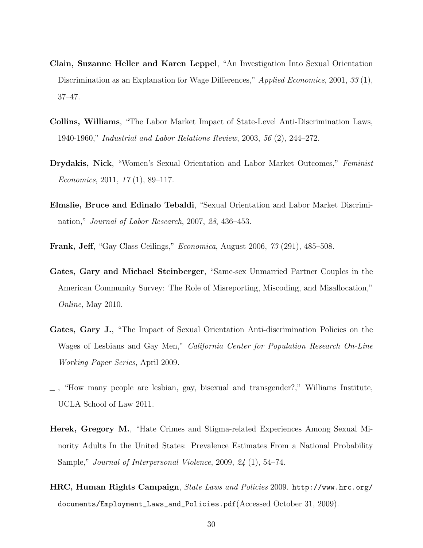- Clain, Suzanne Heller and Karen Leppel, "An Investigation Into Sexual Orientation Discrimination as an Explanation for Wage Differences," Applied Economics, 2001, 33(1), 37–47.
- Collins, Williams, "The Labor Market Impact of State-Level Anti-Discrimination Laws, 1940-1960," Industrial and Labor Relations Review, 2003, 56 (2), 244–272.
- Drydakis, Nick, "Women's Sexual Orientation and Labor Market Outcomes," Feminist Economics, 2011,  $17(1)$ , 89–117.
- Elmslie, Bruce and Edinalo Tebaldi, "Sexual Orientation and Labor Market Discrimination," Journal of Labor Research, 2007, 28, 436–453.
- Frank, Jeff, "Gay Class Ceilings," Economica, August 2006, 73 (291), 485–508.
- Gates, Gary and Michael Steinberger, "Same-sex Unmarried Partner Couples in the American Community Survey: The Role of Misreporting, Miscoding, and Misallocation," Online, May 2010.
- Gates, Gary J., "The Impact of Sexual Orientation Anti-discrimination Policies on the Wages of Lesbians and Gay Men," California Center for Population Research On-Line Working Paper Series, April 2009.
- , "How many people are lesbian, gay, bisexual and transgender?," Williams Institute, UCLA School of Law 2011.
- Herek, Gregory M., "Hate Crimes and Stigma-related Experiences Among Sexual Minority Adults In the United States: Prevalence Estimates From a National Probability Sample," Journal of Interpersonal Violence, 2009, 24 (1), 54–74.
- HRC, Human Rights Campaign, State Laws and Policies 2009. http://www.hrc.org/ documents/Employment\_Laws\_and\_Policies.pdf(Accessed October 31, 2009).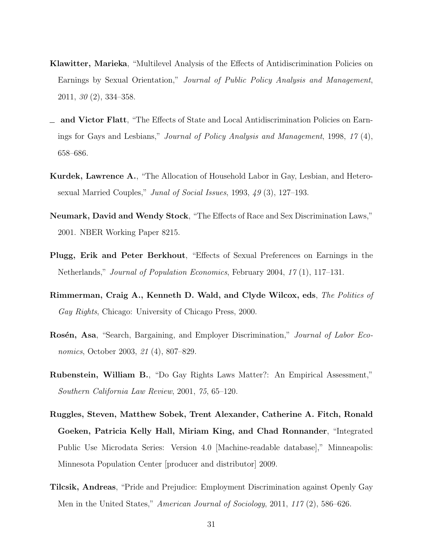- Klawitter, Marieka, "Multilevel Analysis of the Effects of Antidiscrimination Policies on Earnings by Sexual Orientation," Journal of Public Policy Analysis and Management, 2011, 30 (2), 334–358.
- $\equiv$  and Victor Flatt, "The Effects of State and Local Antidiscrimination Policies on Earnings for Gays and Lesbians," Journal of Policy Analysis and Management, 1998, 17 (4), 658–686.
- Kurdek, Lawrence A., "The Allocation of Household Labor in Gay, Lesbian, and Heterosexual Married Couples," Junal of Social Issues, 1993, 49 (3), 127–193.
- Neumark, David and Wendy Stock, "The Effects of Race and Sex Discrimination Laws," 2001. NBER Working Paper 8215.
- Plugg, Erik and Peter Berkhout, "Effects of Sexual Preferences on Earnings in the Netherlands," Journal of Population Economics, February 2004, 17 (1), 117–131.
- Rimmerman, Craig A., Kenneth D. Wald, and Clyde Wilcox, eds, The Politics of Gay Rights, Chicago: University of Chicago Press, 2000.
- Rosén, Asa, "Search, Bargaining, and Employer Discrimination," Journal of Labor Economics, October 2003, 21 (4), 807–829.
- Rubenstein, William B., "Do Gay Rights Laws Matter?: An Empirical Assessment," Southern California Law Review, 2001, 75, 65–120.
- Ruggles, Steven, Matthew Sobek, Trent Alexander, Catherine A. Fitch, Ronald Goeken, Patricia Kelly Hall, Miriam King, and Chad Ronnander, "Integrated Public Use Microdata Series: Version 4.0 [Machine-readable database]," Minneapolis: Minnesota Population Center [producer and distributor] 2009.
- Tilcsik, Andreas, "Pride and Prejudice: Employment Discrimination against Openly Gay Men in the United States," American Journal of Sociology, 2011, 117 $(2)$ , 586–626.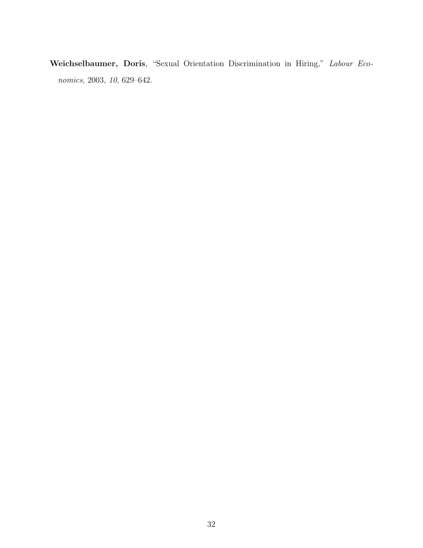Weichselbaumer, Doris, "Sexual Orientation Discrimination in Hiring," Labour Economics, 2003, 10, 629–642.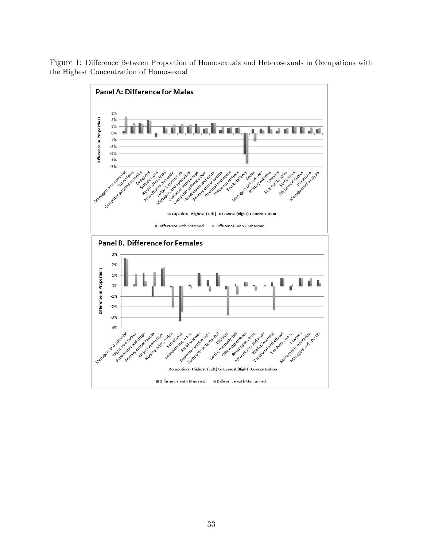Figure 1: Difference Between Proportion of Homosexuals and Heterosexuals in Occupations with the Highest Concentration of Homosexual

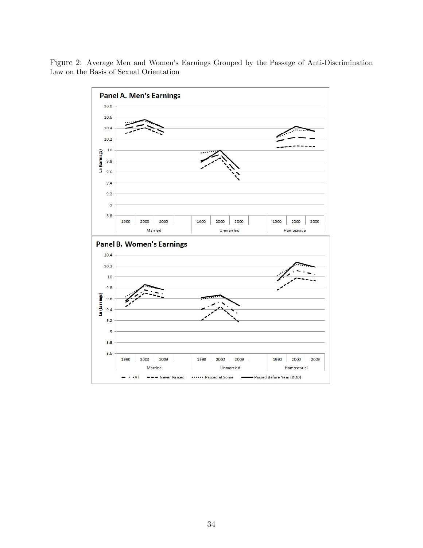

Figure 2: Average Men and Women's Earnings Grouped by the Passage of Anti-Discrimination Law on the Basis of Sexual Orientation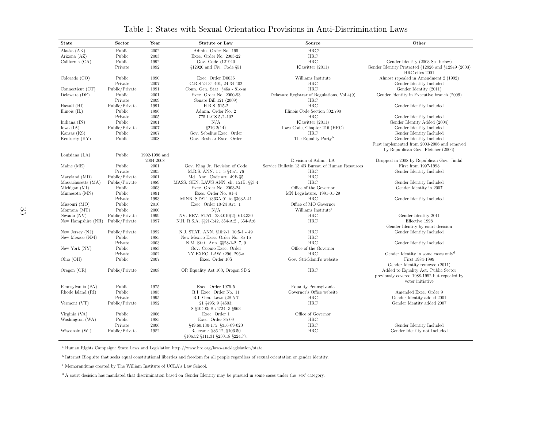| <b>State</b>       | Sector         | Year                       | Statute or Law                                                | Source                                           | Other                                                                                                                                      |
|--------------------|----------------|----------------------------|---------------------------------------------------------------|--------------------------------------------------|--------------------------------------------------------------------------------------------------------------------------------------------|
| Alaska (AK)        | Public         | 2002                       | Admin. Order No. 195                                          | HRC <sup>a</sup>                                 |                                                                                                                                            |
| Arizona (AZ)       | Public         | 2003                       | Exec. Order No. 2003-22                                       | $_{\rm HRC}$                                     |                                                                                                                                            |
| California (CA)    | Public         | 1992                       | Gov. Code §121940                                             | HRC                                              | Gender Identity (2003 See below)                                                                                                           |
|                    | Private        | 1992                       | §12920 and Civ. Code §51                                      | Klawitter (2011)                                 | Gender Identity Protected §12926 and §12949 (2003)<br>HRC cites 2001                                                                       |
| Colorado (CO)      | Public         | 1990                       | Exec. Order D0035                                             | Williams Institute                               | Almost repealed in Amendment 2 (1992)                                                                                                      |
|                    | Private        | 2007                       | C.R.S 24-34-401, 24-34-402                                    | $_{\rm HRC}$                                     | Gender Identity Included                                                                                                                   |
| Connecticut (CT)   | Public/Private | 1991                       | Conn. Gen. Stat. §46a - 81c-m                                 | HRC                                              | Gender Identity (2011)                                                                                                                     |
| Delaware (DE)      | Public         | 2001                       | Exec. Order No. 2000-83                                       | Delaware Registrar of Regulations, Vol 4(9)      | Gender Identity in Executive branch (2009)                                                                                                 |
|                    | Private        | 2009                       | Senate Bill 121 (2009)                                        | HRC                                              |                                                                                                                                            |
| Hawaii (HI)        | Public/Private | 1991                       | H.R.S. 515-2                                                  | HRC                                              | Gender Identity Included                                                                                                                   |
| Illinois $(IL)$    | Public         | 1996                       | Admin. Order No. 2                                            | Illinois Code Section 302.790                    |                                                                                                                                            |
|                    | Private        | 2005                       | 775 ILCS 5/1-102                                              | HRC                                              | Gender Identity Included                                                                                                                   |
| Indiana $(IN)$     | Public         | $\,2001\,$                 | N/A                                                           | Klawitter (2011)                                 | Gender Identity Added (2004)                                                                                                               |
| Iowa (IA)          | Public/Private | 2007                       | \$216.2(14)                                                   | Iowa Code, Chapter 216 (HRC)                     | Gender Identity Included                                                                                                                   |
| Kansas (KS)        | Public         | 2007                       | Gov. Sebelius Exec. Order                                     | $_{\rm HRC}$                                     | Gender Identity Included                                                                                                                   |
| Kentucky (KY)      | Public         | 2008                       | Gov. Beshear Exec. Order                                      | The Equality Party <sup>b</sup>                  | Gender Identity Included                                                                                                                   |
|                    |                |                            |                                                               |                                                  | First implemented from 2003-2006 and removed                                                                                               |
|                    |                |                            |                                                               |                                                  | by Republican Gov. Fletcher (2006)                                                                                                         |
| Louisiana $(LA)$   | Public         | 1992-1996 and<br>2004-2008 |                                                               | Division of Admn. LA                             |                                                                                                                                            |
| Maine $(ME)$       | Public         | 2001                       | Gov. King Jr. Revision of Code                                | Service Bulletin 13.4B Bureau of Human Resources | Dropped in 2008 by Republican Gov. Jindal<br>First from 1997-1998                                                                          |
|                    | Private        | $\,2005\,$                 | M.R.S. ANN. tit. 5 §4571-76                                   | $_{\rm HRC}$                                     | Gender Identity Included                                                                                                                   |
| Maryland (MD)      | Public/Private | $2001\,$                   | Md. Ann. Code art. 49B §5                                     | $_{\rm HRC}$                                     |                                                                                                                                            |
| Massachusetts (MA) | Public/Private | 1989                       | MASS. GEN. LAWS ANN. ch. 151B, §§3-4                          | HRC                                              | Gender Identity Included                                                                                                                   |
| Michigan (MI)      | Public         | $\,2003\,$                 | Exec. Order No. 2003-24                                       | Office of the Governor                           | Gender Identity in 2007                                                                                                                    |
| Minnesota (MN)     | Public         | 1991                       | Exec. Order No. 91-4                                          | MN Legislature. 1991-01-29                       |                                                                                                                                            |
|                    | Private        | 1993                       | MINN. STAT. §363A.01 to §363A.41                              | HRC                                              | Gender Identity Included                                                                                                                   |
| Missouri (MO)      | Public         | 2010                       | Exec. Order 10-24 Art. 1                                      | Office of MO Governor                            |                                                                                                                                            |
| Montana (MT)       | Public         | $2000\,$                   | N/A                                                           | Williams Institute <sup>c</sup>                  |                                                                                                                                            |
| Nevada (NV)        | Public/Private | 1999                       | NV. REV. STAT. 233.010(2); 613.330                            | HRC                                              | Gender Identity 2011                                                                                                                       |
| New Hampshire (NH) | Public/Private | 1997                       | N.H. R.S.A. §§21-I:42, 354-A:2, 354-A:6                       | HRC                                              | Effective 1998                                                                                                                             |
|                    |                |                            |                                                               |                                                  | Gender Identity by court decision                                                                                                          |
| New Jersey $(NJ)$  | Public/Private | 1992                       | N.J. STAT. ANN. §10:2-1; 10:5-1 - 49                          | $_{\rm HRC}$                                     | Gender Identity Included                                                                                                                   |
| New Mexico (NM)    | Public         | 1985                       | New Mexico Exec. Order No. 85-15                              | HRC                                              |                                                                                                                                            |
|                    | Private        | $\,2003\,$                 | N.M. Stat. Ann. §§28-1-2, 7, 9                                | $_{\rm HRC}$                                     | Gender Identity Included                                                                                                                   |
| New York (NY)      | Public         | 1983                       | Gov. Cuomo Exec. Order                                        | Office of the Governor                           |                                                                                                                                            |
|                    | Private        | 2002                       | NY EXEC. LAW §296, 296-a                                      | HRC                                              | Gender Identity in some cases only <sup>d</sup>                                                                                            |
| Ohio $(OH)$        | Public         | 2007                       | Exec. Order 10S                                               | Gov. Strickland's website                        | First 1984-1999                                                                                                                            |
| Oregon $(OR)$      | Public/Private | 2008                       | OR Equality Act 100, Oregon SB 2                              | $_{\rm HRC}$                                     | Gender Identity removed (2011)<br>Added to Equality Act. Public Sector<br>previously covered 1988-1992 but repealed by<br>voter initiative |
| Pennsylvania (PA)  | Public         | 1975                       | Exec. Order 1975-5                                            | Equality Pennsylvania                            |                                                                                                                                            |
| Rhode Island (RI)  | Public         | 1985                       | R.I. Exec. Order No. 11                                       | Governor's Office website                        | Amended Exec. Order 9                                                                                                                      |
|                    | Private        | 1995                       | R.I. Gen. Laws §28-5-7                                        | $_{\rm HRC}$                                     | Gender Identity added 2001                                                                                                                 |
| Vermont (VT)       | Public/Private | 1992                       | 21 §495: 9 §4503:                                             | HRC                                              | Gender Identity added 2007                                                                                                                 |
|                    |                |                            | 8 §10403; 8 §4724; 3 §963                                     |                                                  |                                                                                                                                            |
| Virginia (VA)      | Public         | 2006                       | Exec. Order 1                                                 | Office of Governor                               |                                                                                                                                            |
| Washington (WA)    | Public         | 1985                       | Exec. Order 85-09                                             | $_{\rm HRC}$                                     |                                                                                                                                            |
|                    | Private        | 2006                       | §49.60.130-175, §356-09-020                                   | HRC                                              | Gender Identity Included                                                                                                                   |
| Wisconsin (WI)     | Public/Private | 1982                       | Relevant: §36.12, §106.50<br>§106.52 §111.31 §230.18 §224.77. | HRC                                              | Gender Identity not Included                                                                                                               |

#### Table 1: States with Sexual Orientation Provisions in Anti-Discrimination Laws

a Human Rights Campaign: State Laws and Legislation http://www.hrc.org/laws-and-legislation/state.

b Internet Blog site that seeks equa<sup>l</sup> constitutional liberties and freedom for all people regardless of sexual orientation or gender identity.

c Memorandums created by The William Institute of UCLA's Law School.

d <sup>A</sup> court decision has mandated that discrimination based on Gender Identity may be pursued in some cases under the 'sex' category.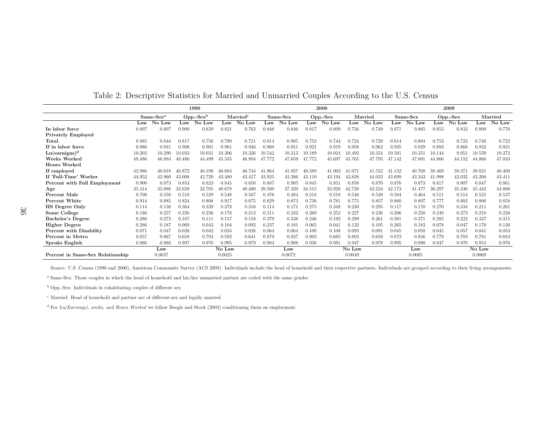|                                  | 1990        |                |             |        |                      |        | 2000     |        |          |        |         | 2009   |          |        |          |        |         |                      |
|----------------------------------|-------------|----------------|-------------|--------|----------------------|--------|----------|--------|----------|--------|---------|--------|----------|--------|----------|--------|---------|----------------------|
|                                  | $Same-Sexa$ |                | $Opp.-Sexb$ |        | Married <sup>c</sup> |        | Same-Sex |        | Opp.-Sex |        | Married |        | Same-Sex |        | Opp.-Sex |        | Married |                      |
|                                  | Law         | No Law         | Law         | No Law | Law                  | No Law | Law      | No Law | Law      | No Law | Law     | No Law | Law      | No Law | Law      | No Law | Law     | $\overline{N}$ o Law |
| In labor force                   | 0.897       | 0.897          | 0.900       | 0.839  | 0.821                | 0.762  | 0.848    | 0.846  | 0.817    | 0.809  | 0.756   | 0.749  | 0.871    | 0.865  | 0.853    | 0.833  | 0.800   | 0.776                |
| <b>Privately Employed</b>        |             |                |             |        |                      |        |          |        |          |        |         |        |          |        |          |        |         |                      |
| Total                            | 0.885       | 0.844          | 0.817       | 0.756  | 0.790                | 0.721  | 0.814    | 0.805  | 0.752    | 0.744  | 0.724   | 0.720  | 0.814    | 0.804  | 0.753    | 0.723  | 0.746   | 0.722                |
| If in labor force                | 0.986       | 0.94           | 0.908       | 0.901  | 0.961                | 0.946  | 0.960    | 0.951  | 0.921    | 0.919  | 0.958   | 0.962  | 0.935    | 0.929  | 0.883    | 0.868  | 0.932   | 0.931                |
| $Ln(earnigns)^d$                 | 10.202      | 10.290         | 10.033      | 10.031 | 10.306               | 10.326 | 10.542   | 10.313 | 10.189   | 10.024 | 10.492  | 10.354 | 10.581   | 10.351 | 10.144   | 9.951  | 10.539  | 10.372               |
| <b>Weeks Worked</b>              | 48.486      | 46.884         | 48.486      | 44.499 | 45.535               | 46.894 | 47.772   | 47.659 | 47.772   | 45.697 | 45.765  | 47.795 | 47.142   | 47.001 | 44.866   | 44.152 | 44.866  | 47.033               |
| <b>Hours Worked</b>              |             |                |             |        |                      |        |          |        |          |        |         |        |          |        |          |        |         |                      |
| If employed                      | 42.986      | 40.818         | 40.872      | 40.198 | 40.684               | 40.744 | 41.964   | 41.927 | 40.589   | 41.003 | 41.071  | 41.552 | 41.132   | 40.768 | 38.469   | 38.371 | 39.821  | 40.400               |
| If 'Full-Time' Worker            | 44.952      | 42.960         | 43.008      | 42.720 | 43.480               | 43.417 | 43.925   | 43.386 | 43.110   | 43.194 | 43.838  | 44.033 | 43.699   | 43.343 | 41.998   | 42.032 | 43.206  | 43.411               |
| Percent with Full Employment     | 0.900       | 0.873          | 0.853       | 0.823  | 0.845                | 0.850  | 0.887    | 0.905  | 0.845    | 0.851  | 0.858   | 0.870  | 0.876    | 0.873  | 0.817    | 0.807  | 0.847   | 0.861                |
| Age                              | 35.414      | 35,088         | 32.658      | 32.705 | 10.678               | 40.400 | 39.500   | 37.329 | 34.515   | 33.928 | 42.728  | 42.216 | 42.173   | 41.477 | 36.297   | 35.430 | 45.442  | 44.806               |
| Percent Male                     | 0.700       | 0.558          | 0.518       | 0.529  | 0.548                | 0.567  | 0.476    | 0.484  | 0.518    | 0.518  | 0.546   | 0.549  | 0.504    | 0.464  | 0.511    | 0.514  | 0.535   | 0.537                |
| Percent White                    | 0.914       | 0.885          | 0.824       | 0.808  | 0.917                | 0.875  | 0.829    | 0.873  | 0.738    | 0.781  | 0.775   | 0.857  | 0.860    | 0.897  | 0.777    | 0.802  | 0.806   | 0.858                |
| <b>HS</b> Degree Only            | 0.114       | 0.138          | 0.364       | 0.339  | 0.378                | 0.316  | 0.114    | 0.171  | 0.275    | 0.348  | 0.230   | 0.295  | 0.117    | 0.170  | 0.270    | 0.334  | 0.211   | 0.261                |
| Some College                     | 0.186       | 0.257          | 0.226       | 0.236  | 0.178                | 0.213  | 0.211    | 0.242  | 0.260    | 0.252  | 0.227   | 0.236  | 0.206    | 0.250  | 0.249    | 0.273  | 0.210   | 0.226                |
| Bachelor's Degree                | 0.286       | 0.273          | 0.107       | 0.111  | 0.157                | 0.158  | 0.379    | 0.338  | 0.246    | 0.192  | 0.299   | 0.261  | 0.381    | 0.371  | 0.285    | 0.222  | 0.337   | 0.315                |
| <b>Higher Degree</b>             | 0.286       | 0.187          | 0.069       | 0.043  | 0.104                | 0.092  | 0.237    | 0.181  | 0.065    | 0.041  | 0.132   | 0.105  | 0.265    | 0.183  | 0.078    | 0.047  | 0.170   | 0.130                |
| Percent with Disability          | 0.071       | $0.04^{\circ}$ | 0.038       | 0.042  | 0.034                | 0.038  | 0.064    | 0.064  | 0.100    | 0.108  | 0.093   | 0.091  | 0.045    | 0.058  | 0.045    | 0.057  | 0.041   | 0.053                |
| Percent in Metro                 | 0.857       | 0.867          | 0.658       | 0.703  | 0.592                | 0.641  | 0.879    | 0.837  | 0.803    | 0.685  | 0.803   | 0.658  | 0.872    | 0.856  | 0.779    | 0.703  | 0.781   | 0.683                |
| Speaks English                   | 0.986       | 0.988          | 0.997       | 0.976  | 0.995                | 0.979  | 0.984    | 0.988  | 0.956    | 0.981  | 0.947   | 0.978  | 0.995    | 0.990  | 0.947    | 0.970  | 0.953   | 0.976                |
|                                  |             | Law            |             |        | No Law               |        |          | Law    |          |        | No Law  |        |          | Law    |          |        | No Law  |                      |
| Percent in Same-Sex Relationship |             | 0.0037         |             |        | 0.0025               |        |          | 0.0072 |          |        | 0.0049  |        |          | 0.0085 |          |        | 0.0069  |                      |

Table 2: Descriptive Statistics for Married and Unmarried Couples According to the U.S. Census

Source: U.S. Census (1990 and 2000), American Community Survey (ACS 2009). Individuals include the head of household and their respective partners. Individuals are grouped according to their living arrangements.

a Same-Sex: Those couples in which the head of household and his/her unmarried partner are coded with the same gender.

b Opp.-Sex: Individuals in cohabitating couples of different sex

c Married: Head of household and partner are of different-sex and legally married.

d For Ln(Earnings), weeks, and Hours Worked we follow Beegle and Stock (2003) conditioning them on employment.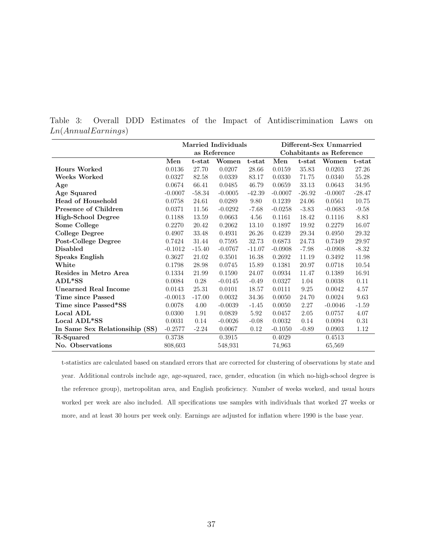|                                |           |          | <b>Married Individuals</b><br>as Reference | Different-Sex Unmarried<br>Cohabitants as Reference |           |             |           |           |
|--------------------------------|-----------|----------|--------------------------------------------|-----------------------------------------------------|-----------|-------------|-----------|-----------|
|                                | Men       | t-stat   | Women                                      | t-stat                                              | Men       | t-stat      | Women     | t-stat    |
| <b>Hours Worked</b>            | 0.0136    | 27.70    | 0.0207                                     | 28.66                                               | 0.0159    | 35.83       | 0.0203    | 27.26     |
| Weeks Worked                   | 0.0327    | 82.58    | 0.0339                                     | 83.17                                               | 0.0330    | 71.75       | 0.0340    | 55.28     |
| Age                            | 0.0674    | 66.41    | 0.0485                                     | 46.79                                               | 0.0659    | 33.13       | 0.0643    | $34.95\,$ |
| Age Squared                    | $-0.0007$ | $-58.34$ | $-0.0005$                                  | $-42.39$                                            | $-0.0007$ | $-26.92$    | $-0.0007$ | $-28.47$  |
| Head of Household              | 0.0758    | 24.61    | 0.0289                                     | 9.80                                                | 0.1239    | 24.06       | 0.0561    | 10.75     |
| Presence of Children           | 0.0371    | 11.56    | $-0.0292$                                  | $-7.68$                                             | $-0.0258$ | $-3.83$     | $-0.0683$ | $-9.58$   |
| High-School Degree             | 0.1188    | 13.59    | 0.0663                                     | 4.56                                                | 0.1161    | 18.42       | 0.1116    | 8.83      |
| Some College                   | 0.2270    | 20.42    | 0.2062                                     | 13.10                                               | 0.1897    | 19.92       | 0.2279    | 16.07     |
| <b>College Degree</b>          | 0.4907    | 33.48    | 0.4931                                     | 26.26                                               | 0.4239    | 29.34       | 0.4950    | 29.32     |
| Post-College Degree            | 0.7424    | 31.44    | 0.7595                                     | 32.73                                               | 0.6873    | 24.73       | 0.7349    | 29.97     |
| <b>Disabled</b>                | $-0.1012$ | $-15.40$ | $-0.0767$                                  | $-11.07$                                            | $-0.0908$ | $-7.98$     | $-0.0908$ | $-8.32$   |
| Speaks English                 | 0.3627    | 21.02    | 0.3501                                     | 16.38                                               | 0.2692    | 11.19       | 0.3492    | 11.98     |
| White                          | 0.1798    | 28.98    | 0.0745                                     | 15.89                                               | 0.1381    | 20.97       | 0.0718    | 10.54     |
| Resides in Metro Area          | 0.1334    | 21.99    | 0.1590                                     | 24.07                                               | 0.0934    | 11.47       | 0.1389    | 16.91     |
| ADL*SS                         | 0.0084    | 0.28     | $-0.0145$                                  | $-0.49$                                             | 0.0327    | 1.04        | 0.0038    | 0.11      |
| <b>Unearned Real Income</b>    | 0.0143    | 25.31    | 0.0101                                     | 18.57                                               | 0.0111    | $\ \, 9.25$ | 0.0042    | $4.57\,$  |
| Time since Passed              | $-0.0013$ | $-17.00$ | 0.0032                                     | 34.36                                               | 0.0050    | 24.70       | 0.0024    | 9.63      |
| Time since Passed*SS           | 0.0078    | 4.00     | $-0.0039$                                  | $-1.45$                                             | 0.0050    | 2.27        | $-0.0046$ | $-1.59$   |
| Local ADL                      | 0.0300    | 1.91     | 0.0839                                     | 5.92                                                | 0.0457    | 2.05        | 0.0757    | 4.07      |
| Local ADL*SS                   | 0.0031    | 0.14     | $-0.0026$                                  | $-0.08$                                             | 0.0032    | 0.14        | 0.0094    | 0.31      |
| In Same Sex Relationsihip (SS) | $-0.2577$ | $-2.24$  | 0.0067                                     | 0.12                                                | $-0.1050$ | $-0.89$     | 0.0903    | 1.12      |
| $R-Squared$                    | 0.3738    |          | 0.3915                                     |                                                     | 0.4029    |             | 0.4513    |           |
| No. Observations               | 808,603   |          | 548,931                                    |                                                     | 74,963    |             | 65,569    |           |

Table 3: Overall DDD Estimates of the Impact of Antidiscrimination Laws on Ln(AnnualEarnings)

t-statistics are calculated based on standard errors that are corrected for clustering of observations by state and year. Additional controls include age, age-squared, race, gender, education (in which no-high-school degree is the reference group), metropolitan area, and English proficiency. Number of weeks worked, and usual hours worked per week are also included. All specifications use samples with individuals that worked 27 weeks or more, and at least 30 hours per week only. Earnings are adjusted for inflation where 1990 is the base year.